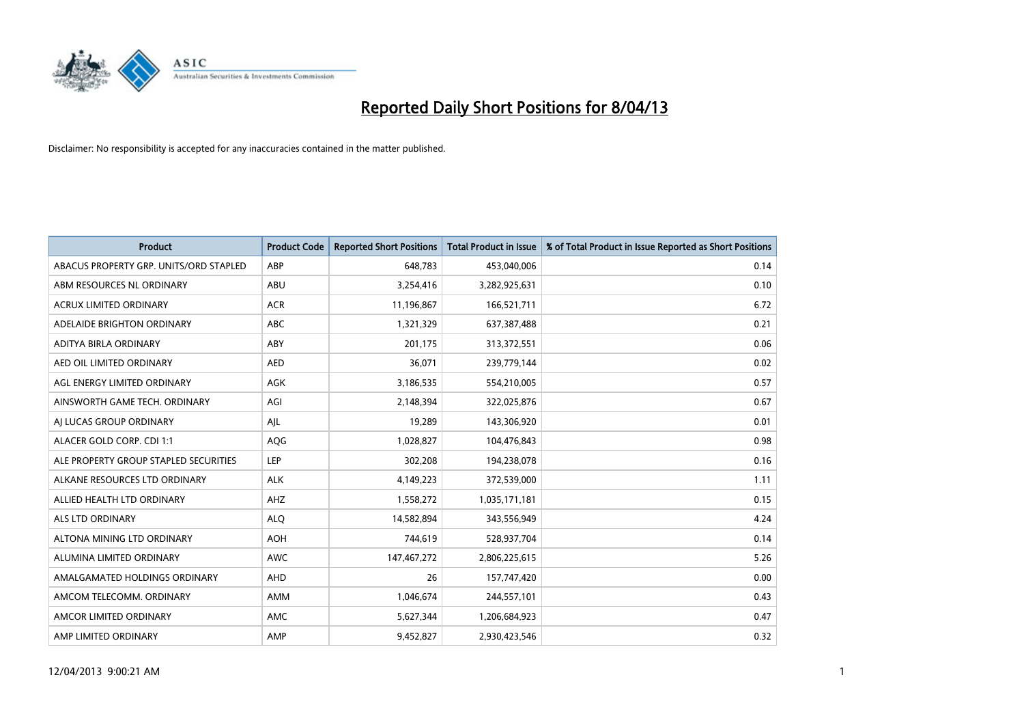

| <b>Product</b>                         | <b>Product Code</b> | <b>Reported Short Positions</b> | <b>Total Product in Issue</b> | % of Total Product in Issue Reported as Short Positions |
|----------------------------------------|---------------------|---------------------------------|-------------------------------|---------------------------------------------------------|
| ABACUS PROPERTY GRP. UNITS/ORD STAPLED | ABP                 | 648,783                         | 453,040,006                   | 0.14                                                    |
| ABM RESOURCES NL ORDINARY              | ABU                 | 3,254,416                       | 3,282,925,631                 | 0.10                                                    |
| <b>ACRUX LIMITED ORDINARY</b>          | <b>ACR</b>          | 11,196,867                      | 166,521,711                   | 6.72                                                    |
| ADELAIDE BRIGHTON ORDINARY             | <b>ABC</b>          | 1,321,329                       | 637,387,488                   | 0.21                                                    |
| <b>ADITYA BIRLA ORDINARY</b>           | ABY                 | 201,175                         | 313,372,551                   | 0.06                                                    |
| AED OIL LIMITED ORDINARY               | <b>AED</b>          | 36,071                          | 239,779,144                   | 0.02                                                    |
| AGL ENERGY LIMITED ORDINARY            | AGK                 | 3,186,535                       | 554,210,005                   | 0.57                                                    |
| AINSWORTH GAME TECH. ORDINARY          | AGI                 | 2,148,394                       | 322,025,876                   | 0.67                                                    |
| AI LUCAS GROUP ORDINARY                | AJL                 | 19,289                          | 143,306,920                   | 0.01                                                    |
| ALACER GOLD CORP. CDI 1:1              | AQG                 | 1,028,827                       | 104,476,843                   | 0.98                                                    |
| ALE PROPERTY GROUP STAPLED SECURITIES  | <b>LEP</b>          | 302,208                         | 194,238,078                   | 0.16                                                    |
| ALKANE RESOURCES LTD ORDINARY          | <b>ALK</b>          | 4,149,223                       | 372,539,000                   | 1.11                                                    |
| ALLIED HEALTH LTD ORDINARY             | AHZ                 | 1,558,272                       | 1,035,171,181                 | 0.15                                                    |
| <b>ALS LTD ORDINARY</b>                | <b>ALO</b>          | 14,582,894                      | 343,556,949                   | 4.24                                                    |
| ALTONA MINING LTD ORDINARY             | <b>AOH</b>          | 744,619                         | 528,937,704                   | 0.14                                                    |
| ALUMINA LIMITED ORDINARY               | <b>AWC</b>          | 147,467,272                     | 2,806,225,615                 | 5.26                                                    |
| AMALGAMATED HOLDINGS ORDINARY          | <b>AHD</b>          | 26                              | 157,747,420                   | 0.00                                                    |
| AMCOM TELECOMM. ORDINARY               | <b>AMM</b>          | 1,046,674                       | 244,557,101                   | 0.43                                                    |
| AMCOR LIMITED ORDINARY                 | AMC                 | 5,627,344                       | 1,206,684,923                 | 0.47                                                    |
| AMP LIMITED ORDINARY                   | AMP                 | 9,452,827                       | 2,930,423,546                 | 0.32                                                    |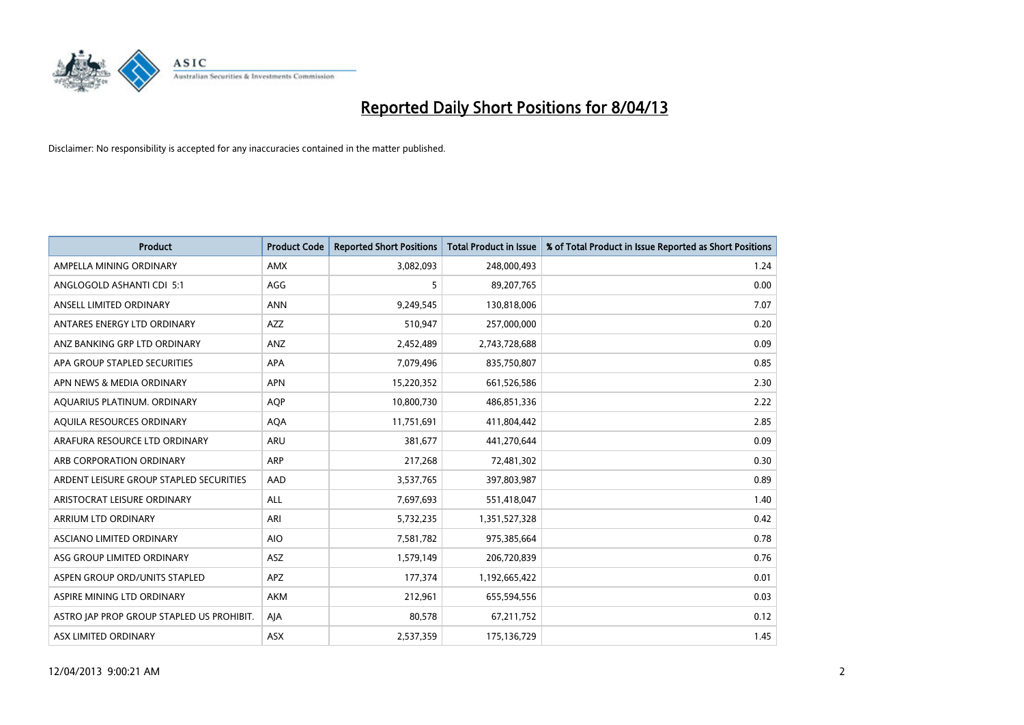

| <b>Product</b>                            | <b>Product Code</b> | <b>Reported Short Positions</b> | <b>Total Product in Issue</b> | % of Total Product in Issue Reported as Short Positions |
|-------------------------------------------|---------------------|---------------------------------|-------------------------------|---------------------------------------------------------|
| AMPELLA MINING ORDINARY                   | <b>AMX</b>          | 3,082,093                       | 248,000,493                   | 1.24                                                    |
| ANGLOGOLD ASHANTI CDI 5:1                 | AGG                 | 5                               | 89,207,765                    | 0.00                                                    |
| ANSELL LIMITED ORDINARY                   | <b>ANN</b>          | 9,249,545                       | 130,818,006                   | 7.07                                                    |
| ANTARES ENERGY LTD ORDINARY               | <b>AZZ</b>          | 510,947                         | 257,000,000                   | 0.20                                                    |
| ANZ BANKING GRP LTD ORDINARY              | ANZ                 | 2,452,489                       | 2,743,728,688                 | 0.09                                                    |
| APA GROUP STAPLED SECURITIES              | APA                 | 7,079,496                       | 835,750,807                   | 0.85                                                    |
| APN NEWS & MEDIA ORDINARY                 | <b>APN</b>          | 15,220,352                      | 661,526,586                   | 2.30                                                    |
| AQUARIUS PLATINUM. ORDINARY               | AQP                 | 10,800,730                      | 486,851,336                   | 2.22                                                    |
| AQUILA RESOURCES ORDINARY                 | <b>AQA</b>          | 11,751,691                      | 411,804,442                   | 2.85                                                    |
| ARAFURA RESOURCE LTD ORDINARY             | <b>ARU</b>          | 381,677                         | 441,270,644                   | 0.09                                                    |
| ARB CORPORATION ORDINARY                  | <b>ARP</b>          | 217,268                         | 72,481,302                    | 0.30                                                    |
| ARDENT LEISURE GROUP STAPLED SECURITIES   | AAD                 | 3,537,765                       | 397,803,987                   | 0.89                                                    |
| ARISTOCRAT LEISURE ORDINARY               | <b>ALL</b>          | 7,697,693                       | 551,418,047                   | 1.40                                                    |
| ARRIUM LTD ORDINARY                       | ARI                 | 5,732,235                       | 1,351,527,328                 | 0.42                                                    |
| ASCIANO LIMITED ORDINARY                  | <b>AIO</b>          | 7,581,782                       | 975,385,664                   | 0.78                                                    |
| ASG GROUP LIMITED ORDINARY                | <b>ASZ</b>          | 1,579,149                       | 206,720,839                   | 0.76                                                    |
| ASPEN GROUP ORD/UNITS STAPLED             | APZ                 | 177,374                         | 1,192,665,422                 | 0.01                                                    |
| ASPIRE MINING LTD ORDINARY                | <b>AKM</b>          | 212,961                         | 655,594,556                   | 0.03                                                    |
| ASTRO JAP PROP GROUP STAPLED US PROHIBIT. | AJA                 | 80,578                          | 67,211,752                    | 0.12                                                    |
| ASX LIMITED ORDINARY                      | <b>ASX</b>          | 2,537,359                       | 175,136,729                   | 1.45                                                    |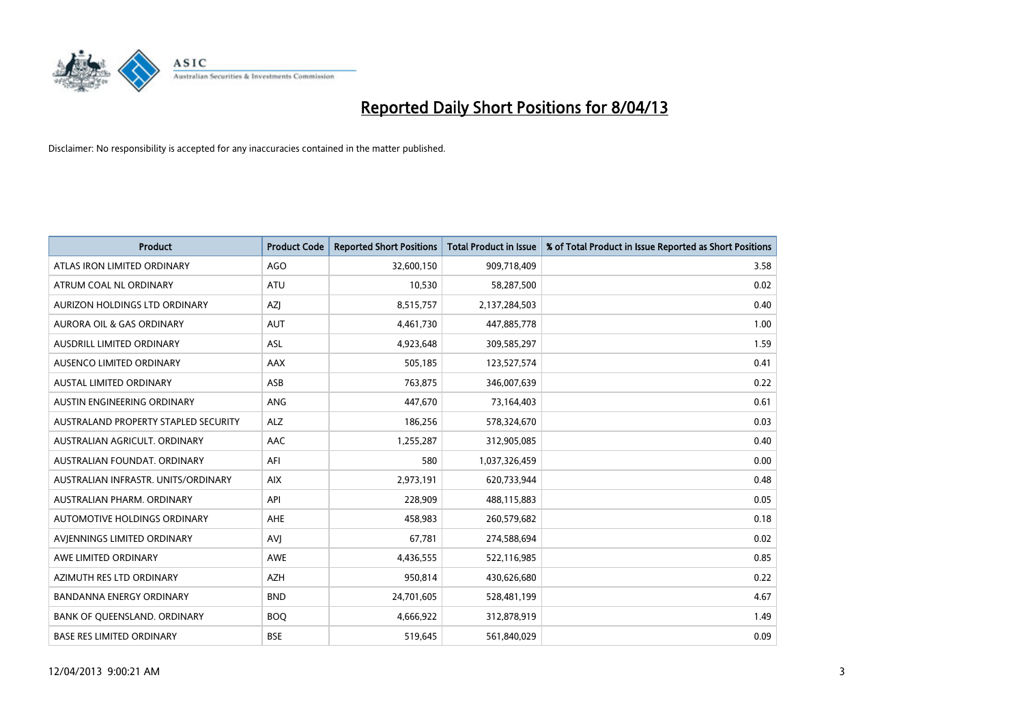

| <b>Product</b>                       | <b>Product Code</b> | <b>Reported Short Positions</b> | <b>Total Product in Issue</b> | % of Total Product in Issue Reported as Short Positions |
|--------------------------------------|---------------------|---------------------------------|-------------------------------|---------------------------------------------------------|
| ATLAS IRON LIMITED ORDINARY          | AGO                 | 32,600,150                      | 909,718,409                   | 3.58                                                    |
| ATRUM COAL NL ORDINARY               | ATU                 | 10,530                          | 58,287,500                    | 0.02                                                    |
| AURIZON HOLDINGS LTD ORDINARY        | AZJ                 | 8,515,757                       | 2,137,284,503                 | 0.40                                                    |
| <b>AURORA OIL &amp; GAS ORDINARY</b> | <b>AUT</b>          | 4,461,730                       | 447,885,778                   | 1.00                                                    |
| AUSDRILL LIMITED ORDINARY            | <b>ASL</b>          | 4,923,648                       | 309,585,297                   | 1.59                                                    |
| AUSENCO LIMITED ORDINARY             | AAX                 | 505,185                         | 123,527,574                   | 0.41                                                    |
| <b>AUSTAL LIMITED ORDINARY</b>       | ASB                 | 763.875                         | 346,007,639                   | 0.22                                                    |
| AUSTIN ENGINEERING ORDINARY          | <b>ANG</b>          | 447,670                         | 73,164,403                    | 0.61                                                    |
| AUSTRALAND PROPERTY STAPLED SECURITY | <b>ALZ</b>          | 186,256                         | 578,324,670                   | 0.03                                                    |
| AUSTRALIAN AGRICULT, ORDINARY        | AAC                 | 1,255,287                       | 312,905,085                   | 0.40                                                    |
| AUSTRALIAN FOUNDAT. ORDINARY         | AFI                 | 580                             | 1,037,326,459                 | 0.00                                                    |
| AUSTRALIAN INFRASTR, UNITS/ORDINARY  | <b>AIX</b>          | 2,973,191                       | 620,733,944                   | 0.48                                                    |
| AUSTRALIAN PHARM. ORDINARY           | API                 | 228,909                         | 488,115,883                   | 0.05                                                    |
| AUTOMOTIVE HOLDINGS ORDINARY         | AHE                 | 458,983                         | 260,579,682                   | 0.18                                                    |
| AVIENNINGS LIMITED ORDINARY          | AVI                 | 67,781                          | 274,588,694                   | 0.02                                                    |
| AWE LIMITED ORDINARY                 | <b>AWE</b>          | 4,436,555                       | 522,116,985                   | 0.85                                                    |
| AZIMUTH RES LTD ORDINARY             | <b>AZH</b>          | 950,814                         | 430,626,680                   | 0.22                                                    |
| <b>BANDANNA ENERGY ORDINARY</b>      | <b>BND</b>          | 24,701,605                      | 528,481,199                   | 4.67                                                    |
| BANK OF OUEENSLAND, ORDINARY         | <b>BOQ</b>          | 4,666,922                       | 312,878,919                   | 1.49                                                    |
| <b>BASE RES LIMITED ORDINARY</b>     | <b>BSE</b>          | 519,645                         | 561,840,029                   | 0.09                                                    |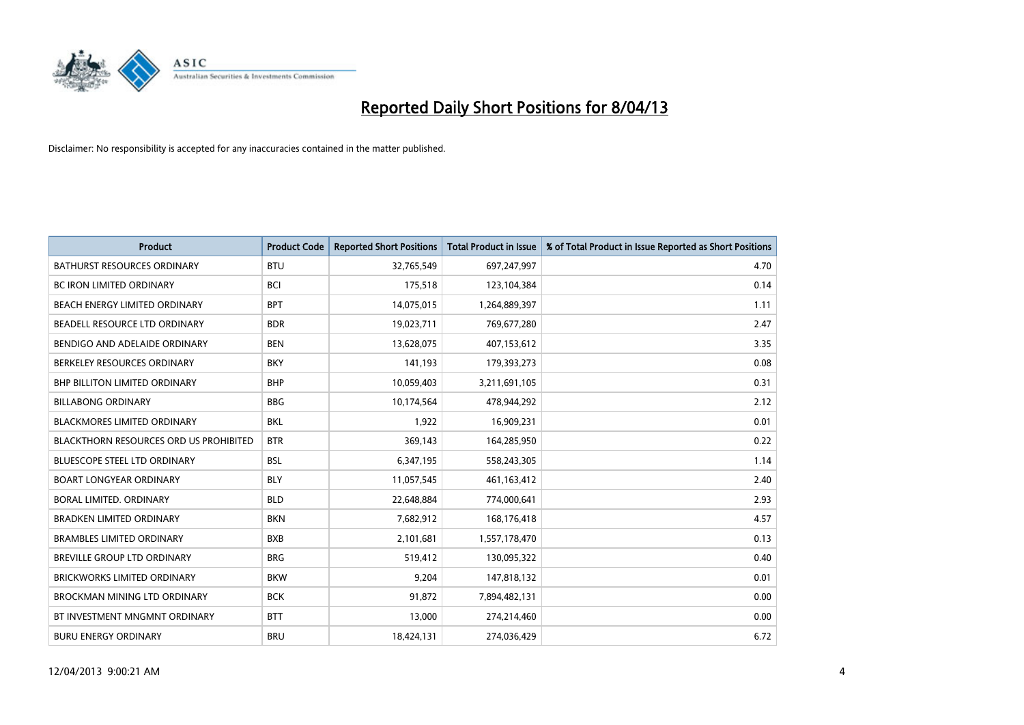

| <b>Product</b>                         | <b>Product Code</b> | <b>Reported Short Positions</b> | <b>Total Product in Issue</b> | % of Total Product in Issue Reported as Short Positions |
|----------------------------------------|---------------------|---------------------------------|-------------------------------|---------------------------------------------------------|
| <b>BATHURST RESOURCES ORDINARY</b>     | <b>BTU</b>          | 32,765,549                      | 697,247,997                   | 4.70                                                    |
| <b>BC IRON LIMITED ORDINARY</b>        | <b>BCI</b>          | 175,518                         | 123,104,384                   | 0.14                                                    |
| BEACH ENERGY LIMITED ORDINARY          | <b>BPT</b>          | 14,075,015                      | 1,264,889,397                 | 1.11                                                    |
| BEADELL RESOURCE LTD ORDINARY          | <b>BDR</b>          | 19,023,711                      | 769,677,280                   | 2.47                                                    |
| BENDIGO AND ADELAIDE ORDINARY          | <b>BEN</b>          | 13,628,075                      | 407,153,612                   | 3.35                                                    |
| BERKELEY RESOURCES ORDINARY            | <b>BKY</b>          | 141,193                         | 179,393,273                   | 0.08                                                    |
| <b>BHP BILLITON LIMITED ORDINARY</b>   | <b>BHP</b>          | 10,059,403                      | 3,211,691,105                 | 0.31                                                    |
| <b>BILLABONG ORDINARY</b>              | <b>BBG</b>          | 10,174,564                      | 478,944,292                   | 2.12                                                    |
| BLACKMORES LIMITED ORDINARY            | <b>BKL</b>          | 1,922                           | 16,909,231                    | 0.01                                                    |
| BLACKTHORN RESOURCES ORD US PROHIBITED | <b>BTR</b>          | 369,143                         | 164,285,950                   | 0.22                                                    |
| <b>BLUESCOPE STEEL LTD ORDINARY</b>    | <b>BSL</b>          | 6,347,195                       | 558,243,305                   | 1.14                                                    |
| <b>BOART LONGYEAR ORDINARY</b>         | <b>BLY</b>          | 11,057,545                      | 461,163,412                   | 2.40                                                    |
| BORAL LIMITED, ORDINARY                | <b>BLD</b>          | 22,648,884                      | 774,000,641                   | 2.93                                                    |
| <b>BRADKEN LIMITED ORDINARY</b>        | <b>BKN</b>          | 7,682,912                       | 168,176,418                   | 4.57                                                    |
| <b>BRAMBLES LIMITED ORDINARY</b>       | <b>BXB</b>          | 2,101,681                       | 1,557,178,470                 | 0.13                                                    |
| <b>BREVILLE GROUP LTD ORDINARY</b>     | <b>BRG</b>          | 519,412                         | 130,095,322                   | 0.40                                                    |
| <b>BRICKWORKS LIMITED ORDINARY</b>     | <b>BKW</b>          | 9,204                           | 147,818,132                   | 0.01                                                    |
| BROCKMAN MINING LTD ORDINARY           | <b>BCK</b>          | 91,872                          | 7,894,482,131                 | 0.00                                                    |
| BT INVESTMENT MNGMNT ORDINARY          | <b>BTT</b>          | 13,000                          | 274,214,460                   | 0.00                                                    |
| <b>BURU ENERGY ORDINARY</b>            | <b>BRU</b>          | 18,424,131                      | 274,036,429                   | 6.72                                                    |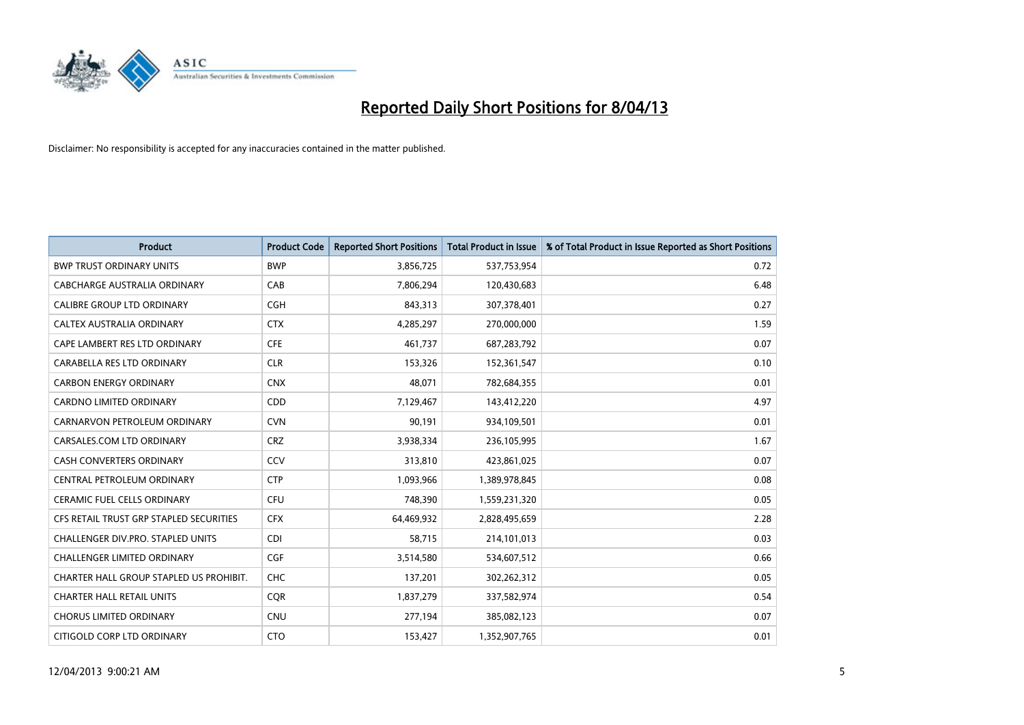

| <b>Product</b>                          | <b>Product Code</b> | <b>Reported Short Positions</b> | <b>Total Product in Issue</b> | % of Total Product in Issue Reported as Short Positions |
|-----------------------------------------|---------------------|---------------------------------|-------------------------------|---------------------------------------------------------|
| <b>BWP TRUST ORDINARY UNITS</b>         | <b>BWP</b>          | 3,856,725                       | 537,753,954                   | 0.72                                                    |
| CABCHARGE AUSTRALIA ORDINARY            | CAB                 | 7,806,294                       | 120,430,683                   | 6.48                                                    |
| <b>CALIBRE GROUP LTD ORDINARY</b>       | <b>CGH</b>          | 843,313                         | 307,378,401                   | 0.27                                                    |
| CALTEX AUSTRALIA ORDINARY               | <b>CTX</b>          | 4,285,297                       | 270,000,000                   | 1.59                                                    |
| CAPE LAMBERT RES LTD ORDINARY           | <b>CFE</b>          | 461,737                         | 687,283,792                   | 0.07                                                    |
| CARABELLA RES LTD ORDINARY              | <b>CLR</b>          | 153,326                         | 152,361,547                   | 0.10                                                    |
| <b>CARBON ENERGY ORDINARY</b>           | <b>CNX</b>          | 48.071                          | 782,684,355                   | 0.01                                                    |
| CARDNO LIMITED ORDINARY                 | CDD                 | 7,129,467                       | 143,412,220                   | 4.97                                                    |
| CARNARVON PETROLEUM ORDINARY            | <b>CVN</b>          | 90,191                          | 934,109,501                   | 0.01                                                    |
| CARSALES.COM LTD ORDINARY               | <b>CRZ</b>          | 3,938,334                       | 236,105,995                   | 1.67                                                    |
| CASH CONVERTERS ORDINARY                | CCV                 | 313,810                         | 423,861,025                   | 0.07                                                    |
| CENTRAL PETROLEUM ORDINARY              | <b>CTP</b>          | 1,093,966                       | 1,389,978,845                 | 0.08                                                    |
| CERAMIC FUEL CELLS ORDINARY             | <b>CFU</b>          | 748,390                         | 1,559,231,320                 | 0.05                                                    |
| CFS RETAIL TRUST GRP STAPLED SECURITIES | <b>CFX</b>          | 64,469,932                      | 2,828,495,659                 | 2.28                                                    |
| CHALLENGER DIV.PRO. STAPLED UNITS       | CDI                 | 58,715                          | 214,101,013                   | 0.03                                                    |
| CHALLENGER LIMITED ORDINARY             | <b>CGF</b>          | 3,514,580                       | 534,607,512                   | 0.66                                                    |
| CHARTER HALL GROUP STAPLED US PROHIBIT. | <b>CHC</b>          | 137,201                         | 302,262,312                   | 0.05                                                    |
| <b>CHARTER HALL RETAIL UNITS</b>        | <b>CQR</b>          | 1,837,279                       | 337,582,974                   | 0.54                                                    |
| <b>CHORUS LIMITED ORDINARY</b>          | <b>CNU</b>          | 277,194                         | 385,082,123                   | 0.07                                                    |
| CITIGOLD CORP LTD ORDINARY              | <b>CTO</b>          | 153,427                         | 1,352,907,765                 | 0.01                                                    |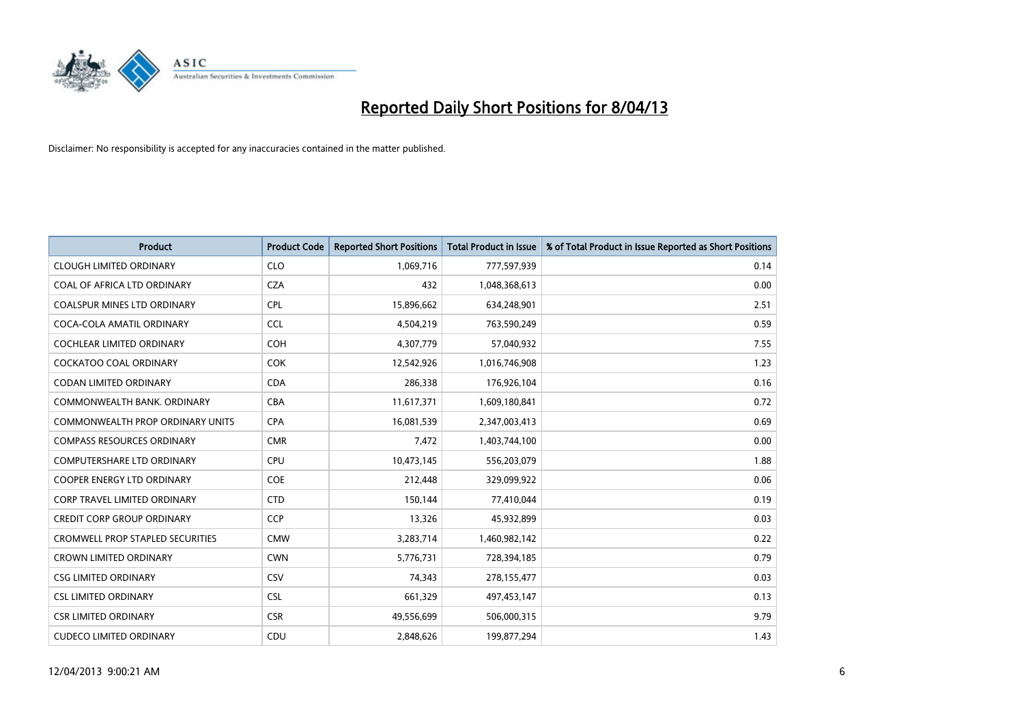

| <b>Product</b>                          | <b>Product Code</b> | <b>Reported Short Positions</b> | <b>Total Product in Issue</b> | % of Total Product in Issue Reported as Short Positions |
|-----------------------------------------|---------------------|---------------------------------|-------------------------------|---------------------------------------------------------|
| <b>CLOUGH LIMITED ORDINARY</b>          | <b>CLO</b>          | 1,069,716                       | 777,597,939                   | 0.14                                                    |
| COAL OF AFRICA LTD ORDINARY             | <b>CZA</b>          | 432                             | 1,048,368,613                 | 0.00                                                    |
| <b>COALSPUR MINES LTD ORDINARY</b>      | <b>CPL</b>          | 15,896,662                      | 634,248,901                   | 2.51                                                    |
| COCA-COLA AMATIL ORDINARY               | <b>CCL</b>          | 4,504,219                       | 763,590,249                   | 0.59                                                    |
| COCHLEAR LIMITED ORDINARY               | <b>COH</b>          | 4,307,779                       | 57,040,932                    | 7.55                                                    |
| <b>COCKATOO COAL ORDINARY</b>           | <b>COK</b>          | 12,542,926                      | 1,016,746,908                 | 1.23                                                    |
| <b>CODAN LIMITED ORDINARY</b>           | <b>CDA</b>          | 286,338                         | 176,926,104                   | 0.16                                                    |
| COMMONWEALTH BANK, ORDINARY             | <b>CBA</b>          | 11,617,371                      | 1,609,180,841                 | 0.72                                                    |
| COMMONWEALTH PROP ORDINARY UNITS        | <b>CPA</b>          | 16,081,539                      | 2,347,003,413                 | 0.69                                                    |
| <b>COMPASS RESOURCES ORDINARY</b>       | <b>CMR</b>          | 7,472                           | 1,403,744,100                 | 0.00                                                    |
| COMPUTERSHARE LTD ORDINARY              | <b>CPU</b>          | 10,473,145                      | 556,203,079                   | 1.88                                                    |
| <b>COOPER ENERGY LTD ORDINARY</b>       | <b>COE</b>          | 212,448                         | 329,099,922                   | 0.06                                                    |
| <b>CORP TRAVEL LIMITED ORDINARY</b>     | <b>CTD</b>          | 150,144                         | 77,410,044                    | 0.19                                                    |
| <b>CREDIT CORP GROUP ORDINARY</b>       | <b>CCP</b>          | 13,326                          | 45,932,899                    | 0.03                                                    |
| <b>CROMWELL PROP STAPLED SECURITIES</b> | <b>CMW</b>          | 3,283,714                       | 1,460,982,142                 | 0.22                                                    |
| <b>CROWN LIMITED ORDINARY</b>           | <b>CWN</b>          | 5,776,731                       | 728,394,185                   | 0.79                                                    |
| <b>CSG LIMITED ORDINARY</b>             | CSV                 | 74,343                          | 278,155,477                   | 0.03                                                    |
| <b>CSL LIMITED ORDINARY</b>             | <b>CSL</b>          | 661,329                         | 497,453,147                   | 0.13                                                    |
| <b>CSR LIMITED ORDINARY</b>             | <b>CSR</b>          | 49,556,699                      | 506,000,315                   | 9.79                                                    |
| <b>CUDECO LIMITED ORDINARY</b>          | CDU                 | 2,848,626                       | 199,877,294                   | 1.43                                                    |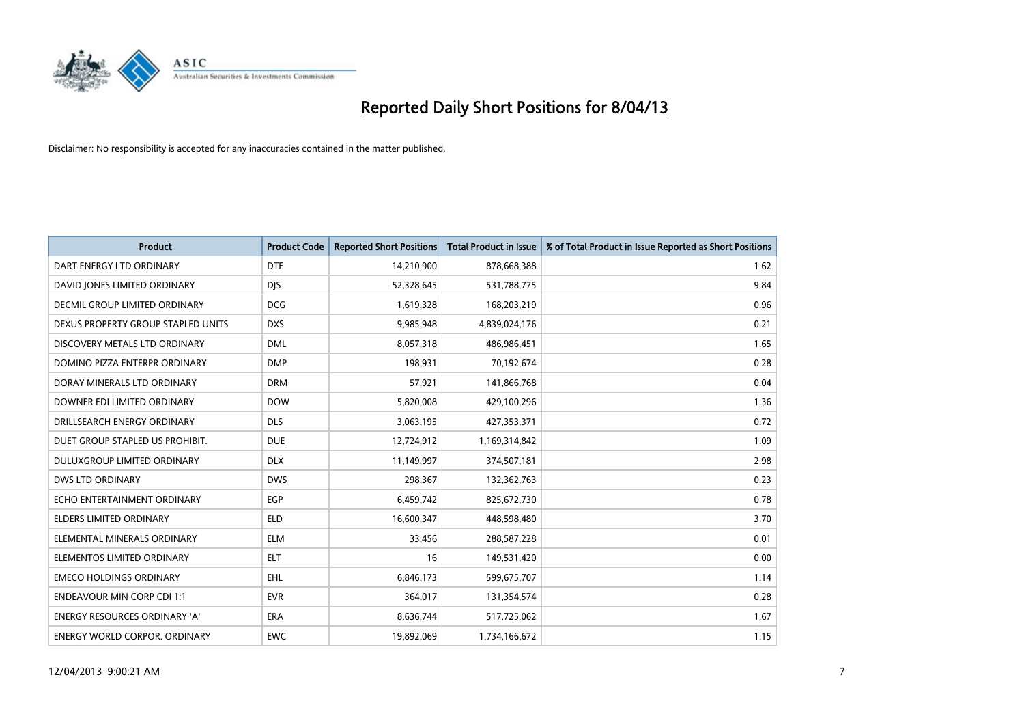

| <b>Product</b>                       | <b>Product Code</b> | <b>Reported Short Positions</b> | <b>Total Product in Issue</b> | % of Total Product in Issue Reported as Short Positions |
|--------------------------------------|---------------------|---------------------------------|-------------------------------|---------------------------------------------------------|
| DART ENERGY LTD ORDINARY             | <b>DTE</b>          | 14,210,900                      | 878,668,388                   | 1.62                                                    |
| DAVID JONES LIMITED ORDINARY         | <b>DIS</b>          | 52,328,645                      | 531,788,775                   | 9.84                                                    |
| <b>DECMIL GROUP LIMITED ORDINARY</b> | <b>DCG</b>          | 1,619,328                       | 168,203,219                   | 0.96                                                    |
| DEXUS PROPERTY GROUP STAPLED UNITS   | <b>DXS</b>          | 9,985,948                       | 4,839,024,176                 | 0.21                                                    |
| DISCOVERY METALS LTD ORDINARY        | <b>DML</b>          | 8,057,318                       | 486,986,451                   | 1.65                                                    |
| DOMINO PIZZA ENTERPR ORDINARY        | <b>DMP</b>          | 198,931                         | 70,192,674                    | 0.28                                                    |
| DORAY MINERALS LTD ORDINARY          | <b>DRM</b>          | 57,921                          | 141,866,768                   | 0.04                                                    |
| DOWNER EDI LIMITED ORDINARY          | <b>DOW</b>          | 5,820,008                       | 429,100,296                   | 1.36                                                    |
| DRILLSEARCH ENERGY ORDINARY          | <b>DLS</b>          | 3,063,195                       | 427,353,371                   | 0.72                                                    |
| DUET GROUP STAPLED US PROHIBIT.      | <b>DUE</b>          | 12,724,912                      | 1,169,314,842                 | 1.09                                                    |
| DULUXGROUP LIMITED ORDINARY          | <b>DLX</b>          | 11,149,997                      | 374,507,181                   | 2.98                                                    |
| <b>DWS LTD ORDINARY</b>              | <b>DWS</b>          | 298,367                         | 132,362,763                   | 0.23                                                    |
| ECHO ENTERTAINMENT ORDINARY          | EGP                 | 6,459,742                       | 825,672,730                   | 0.78                                                    |
| ELDERS LIMITED ORDINARY              | <b>ELD</b>          | 16,600,347                      | 448,598,480                   | 3.70                                                    |
| ELEMENTAL MINERALS ORDINARY          | <b>ELM</b>          | 33,456                          | 288,587,228                   | 0.01                                                    |
| ELEMENTOS LIMITED ORDINARY           | <b>ELT</b>          | 16                              | 149,531,420                   | 0.00                                                    |
| <b>EMECO HOLDINGS ORDINARY</b>       | <b>EHL</b>          | 6,846,173                       | 599,675,707                   | 1.14                                                    |
| <b>ENDEAVOUR MIN CORP CDI 1:1</b>    | <b>EVR</b>          | 364,017                         | 131,354,574                   | 0.28                                                    |
| <b>ENERGY RESOURCES ORDINARY 'A'</b> | <b>ERA</b>          | 8,636,744                       | 517,725,062                   | 1.67                                                    |
| <b>ENERGY WORLD CORPOR, ORDINARY</b> | <b>EWC</b>          | 19,892,069                      | 1,734,166,672                 | 1.15                                                    |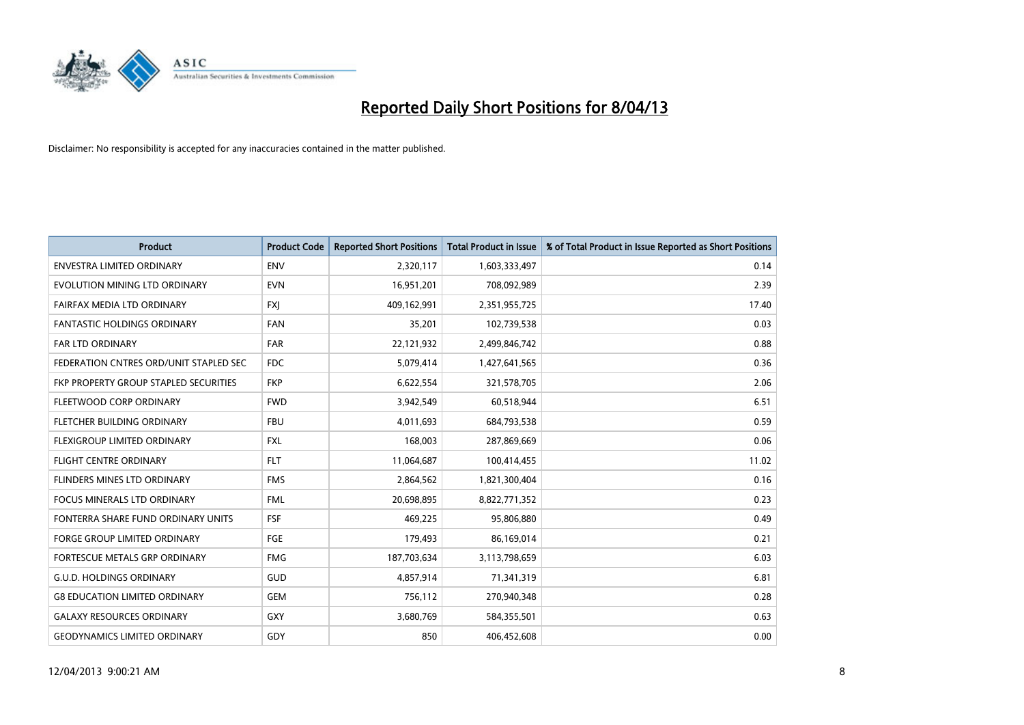

| <b>Product</b>                         | <b>Product Code</b> | <b>Reported Short Positions</b> | <b>Total Product in Issue</b> | % of Total Product in Issue Reported as Short Positions |
|----------------------------------------|---------------------|---------------------------------|-------------------------------|---------------------------------------------------------|
| <b>ENVESTRA LIMITED ORDINARY</b>       | <b>ENV</b>          | 2,320,117                       | 1,603,333,497                 | 0.14                                                    |
| EVOLUTION MINING LTD ORDINARY          | <b>EVN</b>          | 16,951,201                      | 708,092,989                   | 2.39                                                    |
| FAIRFAX MEDIA LTD ORDINARY             | <b>FXI</b>          | 409,162,991                     | 2,351,955,725                 | 17.40                                                   |
| FANTASTIC HOLDINGS ORDINARY            | <b>FAN</b>          | 35,201                          | 102,739,538                   | 0.03                                                    |
| <b>FAR LTD ORDINARY</b>                | <b>FAR</b>          | 22,121,932                      | 2,499,846,742                 | 0.88                                                    |
| FEDERATION CNTRES ORD/UNIT STAPLED SEC | <b>FDC</b>          | 5,079,414                       | 1,427,641,565                 | 0.36                                                    |
| FKP PROPERTY GROUP STAPLED SECURITIES  | <b>FKP</b>          | 6,622,554                       | 321,578,705                   | 2.06                                                    |
| FLEETWOOD CORP ORDINARY                | <b>FWD</b>          | 3,942,549                       | 60,518,944                    | 6.51                                                    |
| FLETCHER BUILDING ORDINARY             | <b>FBU</b>          | 4,011,693                       | 684,793,538                   | 0.59                                                    |
| <b>FLEXIGROUP LIMITED ORDINARY</b>     | <b>FXL</b>          | 168,003                         | 287,869,669                   | 0.06                                                    |
| <b>FLIGHT CENTRE ORDINARY</b>          | <b>FLT</b>          | 11,064,687                      | 100,414,455                   | 11.02                                                   |
| <b>FLINDERS MINES LTD ORDINARY</b>     | <b>FMS</b>          | 2,864,562                       | 1,821,300,404                 | 0.16                                                    |
| <b>FOCUS MINERALS LTD ORDINARY</b>     | <b>FML</b>          | 20,698,895                      | 8,822,771,352                 | 0.23                                                    |
| FONTERRA SHARE FUND ORDINARY UNITS     | FSF                 | 469.225                         | 95,806,880                    | 0.49                                                    |
| <b>FORGE GROUP LIMITED ORDINARY</b>    | FGE                 | 179,493                         | 86,169,014                    | 0.21                                                    |
| FORTESCUE METALS GRP ORDINARY          | <b>FMG</b>          | 187,703,634                     | 3,113,798,659                 | 6.03                                                    |
| <b>G.U.D. HOLDINGS ORDINARY</b>        | GUD                 | 4,857,914                       | 71,341,319                    | 6.81                                                    |
| <b>G8 EDUCATION LIMITED ORDINARY</b>   | <b>GEM</b>          | 756,112                         | 270,940,348                   | 0.28                                                    |
| <b>GALAXY RESOURCES ORDINARY</b>       | <b>GXY</b>          | 3,680,769                       | 584,355,501                   | 0.63                                                    |
| <b>GEODYNAMICS LIMITED ORDINARY</b>    | GDY                 | 850                             | 406.452.608                   | 0.00                                                    |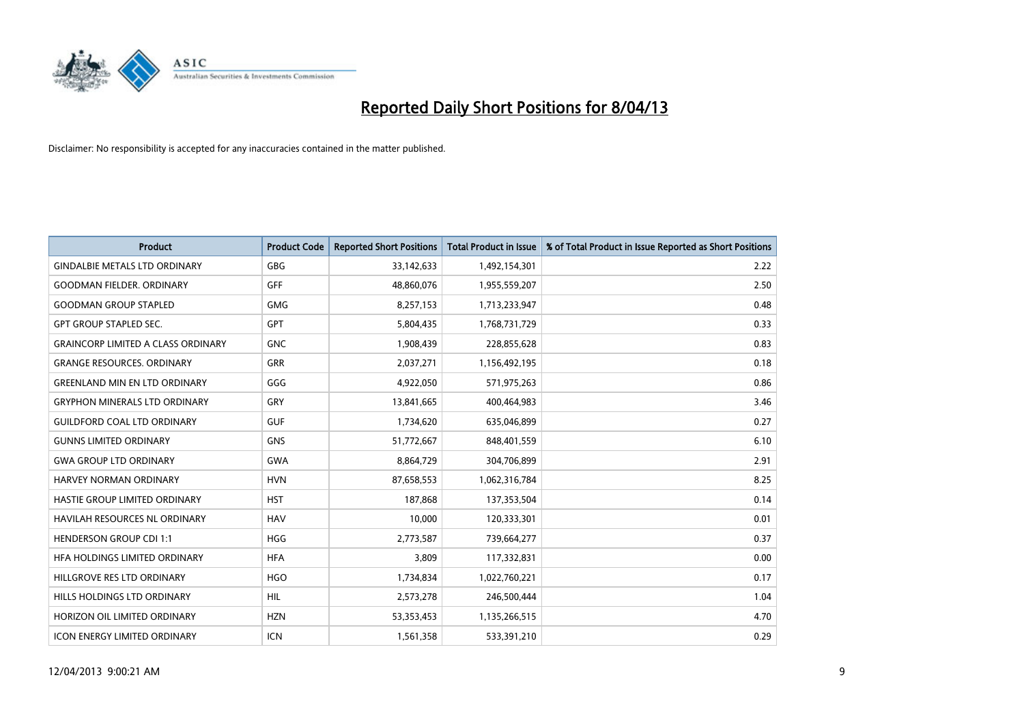

| <b>Product</b>                            | <b>Product Code</b> | <b>Reported Short Positions</b> | <b>Total Product in Issue</b> | % of Total Product in Issue Reported as Short Positions |
|-------------------------------------------|---------------------|---------------------------------|-------------------------------|---------------------------------------------------------|
| <b>GINDALBIE METALS LTD ORDINARY</b>      | <b>GBG</b>          | 33,142,633                      | 1,492,154,301                 | 2.22                                                    |
| <b>GOODMAN FIELDER, ORDINARY</b>          | <b>GFF</b>          | 48,860,076                      | 1,955,559,207                 | 2.50                                                    |
| <b>GOODMAN GROUP STAPLED</b>              | <b>GMG</b>          | 8,257,153                       | 1,713,233,947                 | 0.48                                                    |
| <b>GPT GROUP STAPLED SEC.</b>             | <b>GPT</b>          | 5,804,435                       | 1,768,731,729                 | 0.33                                                    |
| <b>GRAINCORP LIMITED A CLASS ORDINARY</b> | <b>GNC</b>          | 1,908,439                       | 228,855,628                   | 0.83                                                    |
| <b>GRANGE RESOURCES, ORDINARY</b>         | <b>GRR</b>          | 2,037,271                       | 1,156,492,195                 | 0.18                                                    |
| <b>GREENLAND MIN EN LTD ORDINARY</b>      | GGG                 | 4,922,050                       | 571,975,263                   | 0.86                                                    |
| <b>GRYPHON MINERALS LTD ORDINARY</b>      | GRY                 | 13,841,665                      | 400,464,983                   | 3.46                                                    |
| <b>GUILDFORD COAL LTD ORDINARY</b>        | <b>GUF</b>          | 1,734,620                       | 635,046,899                   | 0.27                                                    |
| <b>GUNNS LIMITED ORDINARY</b>             | <b>GNS</b>          | 51,772,667                      | 848,401,559                   | 6.10                                                    |
| <b>GWA GROUP LTD ORDINARY</b>             | <b>GWA</b>          | 8,864,729                       | 304,706,899                   | 2.91                                                    |
| HARVEY NORMAN ORDINARY                    | <b>HVN</b>          | 87,658,553                      | 1,062,316,784                 | 8.25                                                    |
| HASTIE GROUP LIMITED ORDINARY             | <b>HST</b>          | 187,868                         | 137,353,504                   | 0.14                                                    |
| HAVILAH RESOURCES NL ORDINARY             | <b>HAV</b>          | 10.000                          | 120,333,301                   | 0.01                                                    |
| <b>HENDERSON GROUP CDI 1:1</b>            | <b>HGG</b>          | 2,773,587                       | 739,664,277                   | 0.37                                                    |
| HFA HOLDINGS LIMITED ORDINARY             | <b>HFA</b>          | 3,809                           | 117,332,831                   | 0.00                                                    |
| HILLGROVE RES LTD ORDINARY                | <b>HGO</b>          | 1,734,834                       | 1,022,760,221                 | 0.17                                                    |
| HILLS HOLDINGS LTD ORDINARY               | <b>HIL</b>          | 2,573,278                       | 246,500,444                   | 1.04                                                    |
| HORIZON OIL LIMITED ORDINARY              | <b>HZN</b>          | 53,353,453                      | 1,135,266,515                 | 4.70                                                    |
| <b>ICON ENERGY LIMITED ORDINARY</b>       | <b>ICN</b>          | 1,561,358                       | 533,391,210                   | 0.29                                                    |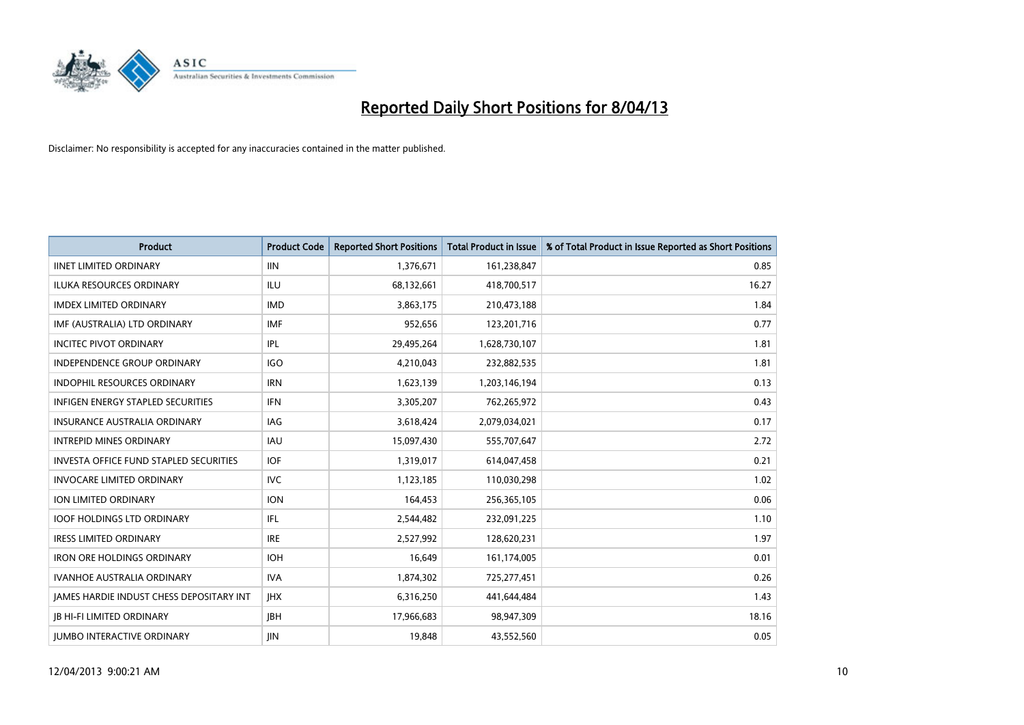

| <b>Product</b>                                | <b>Product Code</b> | <b>Reported Short Positions</b> | <b>Total Product in Issue</b> | % of Total Product in Issue Reported as Short Positions |
|-----------------------------------------------|---------------------|---------------------------------|-------------------------------|---------------------------------------------------------|
| <b>IINET LIMITED ORDINARY</b>                 | <b>IIN</b>          | 1,376,671                       | 161,238,847                   | 0.85                                                    |
| ILUKA RESOURCES ORDINARY                      | ILU                 | 68,132,661                      | 418,700,517                   | 16.27                                                   |
| <b>IMDEX LIMITED ORDINARY</b>                 | <b>IMD</b>          | 3,863,175                       | 210,473,188                   | 1.84                                                    |
| IMF (AUSTRALIA) LTD ORDINARY                  | <b>IMF</b>          | 952,656                         | 123,201,716                   | 0.77                                                    |
| <b>INCITEC PIVOT ORDINARY</b>                 | IPL                 | 29,495,264                      | 1,628,730,107                 | 1.81                                                    |
| <b>INDEPENDENCE GROUP ORDINARY</b>            | IGO                 | 4,210,043                       | 232,882,535                   | 1.81                                                    |
| <b>INDOPHIL RESOURCES ORDINARY</b>            | <b>IRN</b>          | 1,623,139                       | 1,203,146,194                 | 0.13                                                    |
| INFIGEN ENERGY STAPLED SECURITIES             | <b>IFN</b>          | 3,305,207                       | 762,265,972                   | 0.43                                                    |
| INSURANCE AUSTRALIA ORDINARY                  | IAG                 | 3,618,424                       | 2,079,034,021                 | 0.17                                                    |
| <b>INTREPID MINES ORDINARY</b>                | <b>IAU</b>          | 15,097,430                      | 555,707,647                   | 2.72                                                    |
| <b>INVESTA OFFICE FUND STAPLED SECURITIES</b> | <b>IOF</b>          | 1,319,017                       | 614,047,458                   | 0.21                                                    |
| <b>INVOCARE LIMITED ORDINARY</b>              | <b>IVC</b>          | 1,123,185                       | 110,030,298                   | 1.02                                                    |
| ION LIMITED ORDINARY                          | <b>ION</b>          | 164,453                         | 256,365,105                   | 0.06                                                    |
| <b>IOOF HOLDINGS LTD ORDINARY</b>             | <b>IFL</b>          | 2,544,482                       | 232,091,225                   | 1.10                                                    |
| <b>IRESS LIMITED ORDINARY</b>                 | <b>IRE</b>          | 2,527,992                       | 128,620,231                   | 1.97                                                    |
| <b>IRON ORE HOLDINGS ORDINARY</b>             | <b>IOH</b>          | 16,649                          | 161,174,005                   | 0.01                                                    |
| <b>IVANHOE AUSTRALIA ORDINARY</b>             | <b>IVA</b>          | 1,874,302                       | 725,277,451                   | 0.26                                                    |
| JAMES HARDIE INDUST CHESS DEPOSITARY INT      | <b>IHX</b>          | 6,316,250                       | 441,644,484                   | 1.43                                                    |
| <b>IB HI-FI LIMITED ORDINARY</b>              | <b>IBH</b>          | 17,966,683                      | 98,947,309                    | 18.16                                                   |
| <b>JUMBO INTERACTIVE ORDINARY</b>             | <b>IIN</b>          | 19.848                          | 43.552.560                    | 0.05                                                    |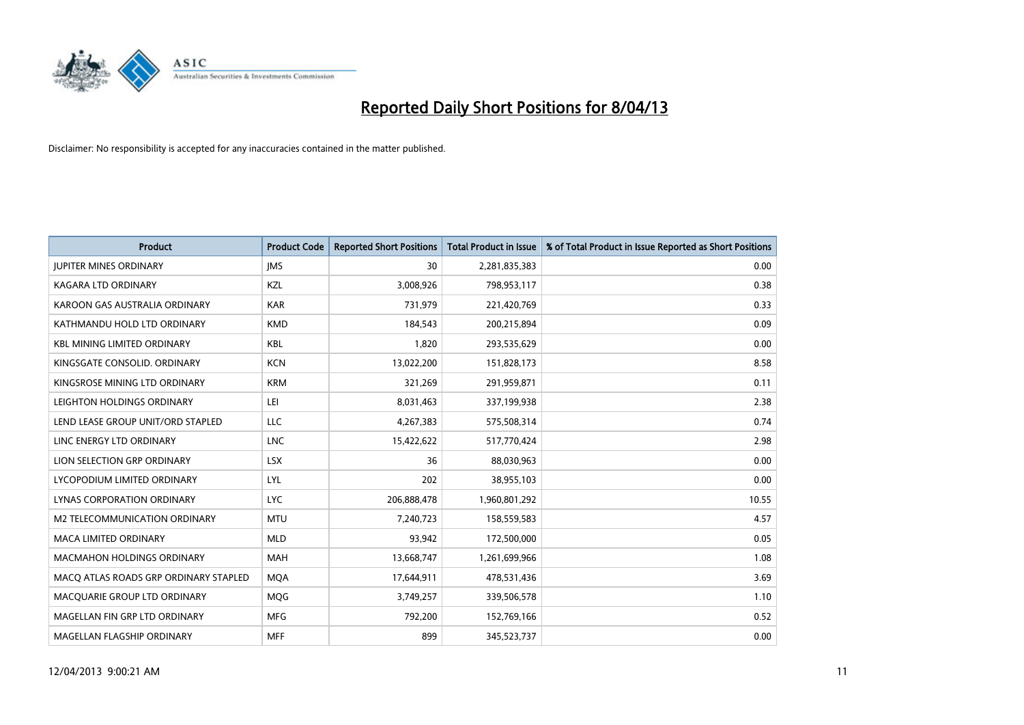

| <b>Product</b>                        | <b>Product Code</b> | <b>Reported Short Positions</b> | <b>Total Product in Issue</b> | % of Total Product in Issue Reported as Short Positions |
|---------------------------------------|---------------------|---------------------------------|-------------------------------|---------------------------------------------------------|
| <b>JUPITER MINES ORDINARY</b>         | <b>IMS</b>          | 30                              | 2,281,835,383                 | 0.00                                                    |
| KAGARA LTD ORDINARY                   | <b>KZL</b>          | 3,008,926                       | 798,953,117                   | 0.38                                                    |
| KAROON GAS AUSTRALIA ORDINARY         | <b>KAR</b>          | 731,979                         | 221,420,769                   | 0.33                                                    |
| KATHMANDU HOLD LTD ORDINARY           | <b>KMD</b>          | 184,543                         | 200,215,894                   | 0.09                                                    |
| <b>KBL MINING LIMITED ORDINARY</b>    | <b>KBL</b>          | 1,820                           | 293,535,629                   | 0.00                                                    |
| KINGSGATE CONSOLID. ORDINARY          | <b>KCN</b>          | 13,022,200                      | 151,828,173                   | 8.58                                                    |
| KINGSROSE MINING LTD ORDINARY         | <b>KRM</b>          | 321,269                         | 291,959,871                   | 0.11                                                    |
| LEIGHTON HOLDINGS ORDINARY            | LEI                 | 8,031,463                       | 337,199,938                   | 2.38                                                    |
| LEND LEASE GROUP UNIT/ORD STAPLED     | LLC                 | 4,267,383                       | 575,508,314                   | 0.74                                                    |
| LINC ENERGY LTD ORDINARY              | <b>LNC</b>          | 15,422,622                      | 517,770,424                   | 2.98                                                    |
| LION SELECTION GRP ORDINARY           | <b>LSX</b>          | 36                              | 88,030,963                    | 0.00                                                    |
| LYCOPODIUM LIMITED ORDINARY           | LYL                 | 202                             | 38,955,103                    | 0.00                                                    |
| <b>LYNAS CORPORATION ORDINARY</b>     | <b>LYC</b>          | 206,888,478                     | 1,960,801,292                 | 10.55                                                   |
| M2 TELECOMMUNICATION ORDINARY         | <b>MTU</b>          | 7,240,723                       | 158,559,583                   | 4.57                                                    |
| <b>MACA LIMITED ORDINARY</b>          | <b>MLD</b>          | 93,942                          | 172,500,000                   | 0.05                                                    |
| <b>MACMAHON HOLDINGS ORDINARY</b>     | <b>MAH</b>          | 13,668,747                      | 1,261,699,966                 | 1.08                                                    |
| MACQ ATLAS ROADS GRP ORDINARY STAPLED | <b>MQA</b>          | 17,644,911                      | 478,531,436                   | 3.69                                                    |
| MACQUARIE GROUP LTD ORDINARY          | <b>MOG</b>          | 3,749,257                       | 339,506,578                   | 1.10                                                    |
| MAGELLAN FIN GRP LTD ORDINARY         | <b>MFG</b>          | 792,200                         | 152,769,166                   | 0.52                                                    |
| MAGELLAN FLAGSHIP ORDINARY            | <b>MFF</b>          | 899                             | 345,523,737                   | 0.00                                                    |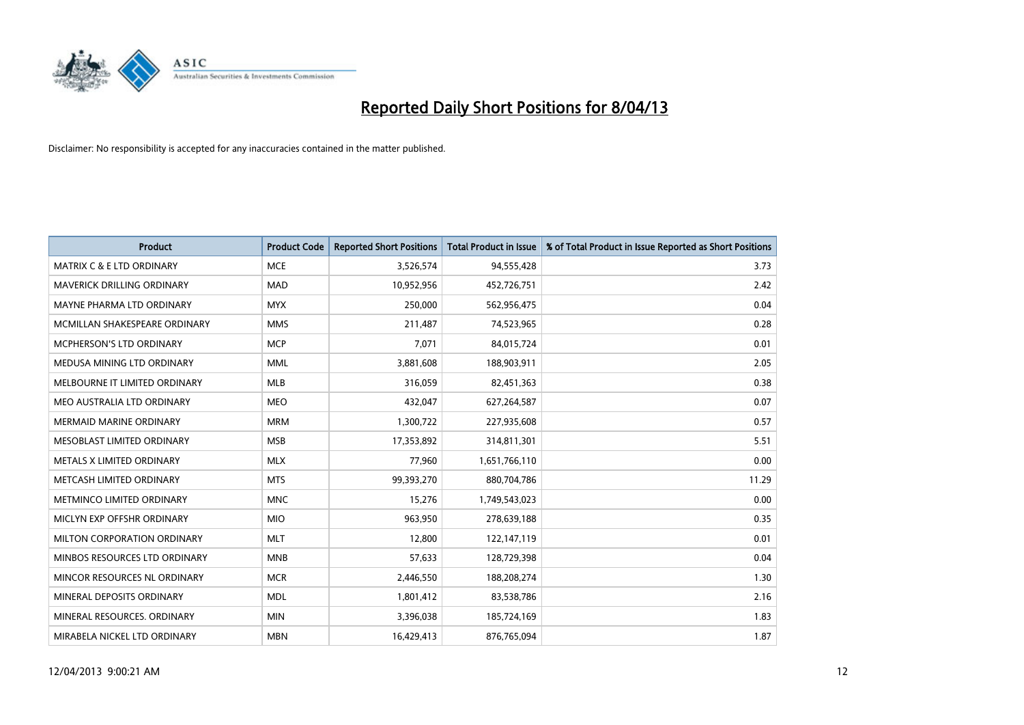

| <b>Product</b>                       | <b>Product Code</b> | <b>Reported Short Positions</b> | <b>Total Product in Issue</b> | % of Total Product in Issue Reported as Short Positions |
|--------------------------------------|---------------------|---------------------------------|-------------------------------|---------------------------------------------------------|
| <b>MATRIX C &amp; E LTD ORDINARY</b> | <b>MCE</b>          | 3,526,574                       | 94,555,428                    | 3.73                                                    |
| MAVERICK DRILLING ORDINARY           | <b>MAD</b>          | 10,952,956                      | 452,726,751                   | 2.42                                                    |
| <b>MAYNE PHARMA LTD ORDINARY</b>     | <b>MYX</b>          | 250,000                         | 562,956,475                   | 0.04                                                    |
| MCMILLAN SHAKESPEARE ORDINARY        | <b>MMS</b>          | 211,487                         | 74,523,965                    | 0.28                                                    |
| <b>MCPHERSON'S LTD ORDINARY</b>      | <b>MCP</b>          | 7,071                           | 84,015,724                    | 0.01                                                    |
| MEDUSA MINING LTD ORDINARY           | <b>MML</b>          | 3,881,608                       | 188,903,911                   | 2.05                                                    |
| MELBOURNE IT LIMITED ORDINARY        | <b>MLB</b>          | 316,059                         | 82,451,363                    | 0.38                                                    |
| MEO AUSTRALIA LTD ORDINARY           | <b>MEO</b>          | 432,047                         | 627,264,587                   | 0.07                                                    |
| <b>MERMAID MARINE ORDINARY</b>       | <b>MRM</b>          | 1,300,722                       | 227,935,608                   | 0.57                                                    |
| MESOBLAST LIMITED ORDINARY           | <b>MSB</b>          | 17,353,892                      | 314,811,301                   | 5.51                                                    |
| METALS X LIMITED ORDINARY            | <b>MLX</b>          | 77,960                          | 1,651,766,110                 | 0.00                                                    |
| METCASH LIMITED ORDINARY             | <b>MTS</b>          | 99,393,270                      | 880,704,786                   | 11.29                                                   |
| METMINCO LIMITED ORDINARY            | <b>MNC</b>          | 15,276                          | 1,749,543,023                 | 0.00                                                    |
| MICLYN EXP OFFSHR ORDINARY           | <b>MIO</b>          | 963,950                         | 278,639,188                   | 0.35                                                    |
| MILTON CORPORATION ORDINARY          | <b>MLT</b>          | 12,800                          | 122,147,119                   | 0.01                                                    |
| MINBOS RESOURCES LTD ORDINARY        | <b>MNB</b>          | 57,633                          | 128,729,398                   | 0.04                                                    |
| MINCOR RESOURCES NL ORDINARY         | <b>MCR</b>          | 2,446,550                       | 188,208,274                   | 1.30                                                    |
| MINERAL DEPOSITS ORDINARY            | <b>MDL</b>          | 1,801,412                       | 83,538,786                    | 2.16                                                    |
| MINERAL RESOURCES, ORDINARY          | <b>MIN</b>          | 3,396,038                       | 185,724,169                   | 1.83                                                    |
| MIRABELA NICKEL LTD ORDINARY         | <b>MBN</b>          | 16,429,413                      | 876,765,094                   | 1.87                                                    |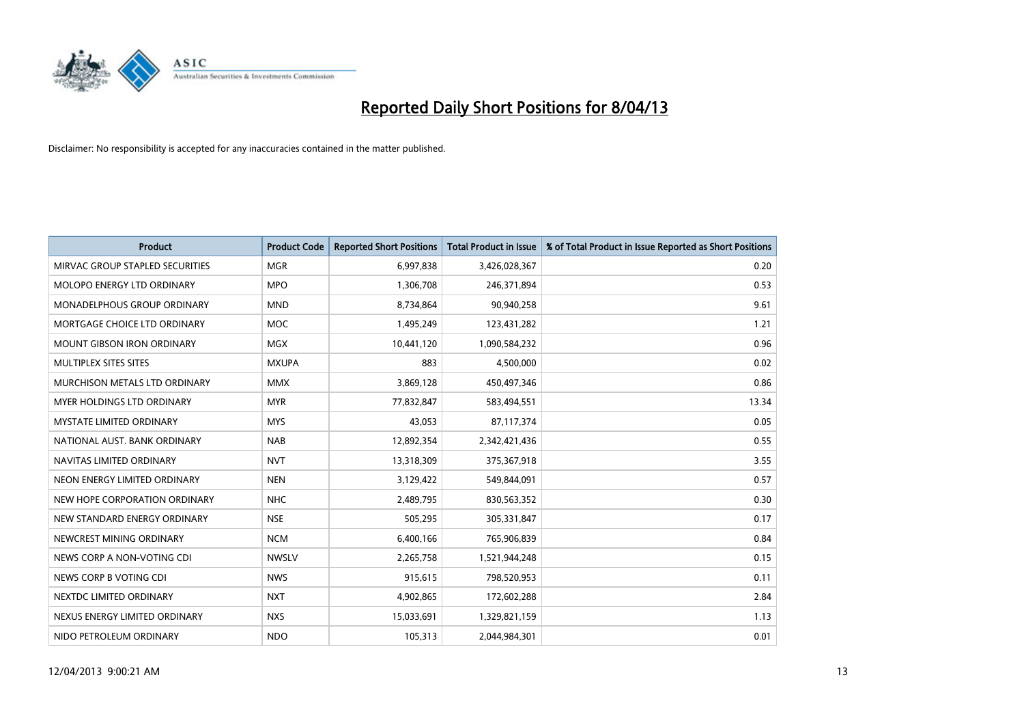

| <b>Product</b>                     | <b>Product Code</b> | <b>Reported Short Positions</b> | <b>Total Product in Issue</b> | % of Total Product in Issue Reported as Short Positions |
|------------------------------------|---------------------|---------------------------------|-------------------------------|---------------------------------------------------------|
| MIRVAC GROUP STAPLED SECURITIES    | <b>MGR</b>          | 6,997,838                       | 3,426,028,367                 | 0.20                                                    |
| MOLOPO ENERGY LTD ORDINARY         | <b>MPO</b>          | 1,306,708                       | 246,371,894                   | 0.53                                                    |
| <b>MONADELPHOUS GROUP ORDINARY</b> | <b>MND</b>          | 8,734,864                       | 90,940,258                    | 9.61                                                    |
| MORTGAGE CHOICE LTD ORDINARY       | <b>MOC</b>          | 1,495,249                       | 123,431,282                   | 1.21                                                    |
| <b>MOUNT GIBSON IRON ORDINARY</b>  | <b>MGX</b>          | 10,441,120                      | 1,090,584,232                 | 0.96                                                    |
| <b>MULTIPLEX SITES SITES</b>       | <b>MXUPA</b>        | 883                             | 4,500,000                     | 0.02                                                    |
| MURCHISON METALS LTD ORDINARY      | <b>MMX</b>          | 3,869,128                       | 450,497,346                   | 0.86                                                    |
| MYER HOLDINGS LTD ORDINARY         | <b>MYR</b>          | 77,832,847                      | 583,494,551                   | 13.34                                                   |
| <b>MYSTATE LIMITED ORDINARY</b>    | <b>MYS</b>          | 43,053                          | 87,117,374                    | 0.05                                                    |
| NATIONAL AUST. BANK ORDINARY       | <b>NAB</b>          | 12,892,354                      | 2,342,421,436                 | 0.55                                                    |
| NAVITAS LIMITED ORDINARY           | <b>NVT</b>          | 13,318,309                      | 375,367,918                   | 3.55                                                    |
| NEON ENERGY LIMITED ORDINARY       | <b>NEN</b>          | 3,129,422                       | 549,844,091                   | 0.57                                                    |
| NEW HOPE CORPORATION ORDINARY      | <b>NHC</b>          | 2,489,795                       | 830,563,352                   | 0.30                                                    |
| NEW STANDARD ENERGY ORDINARY       | <b>NSE</b>          | 505,295                         | 305,331,847                   | 0.17                                                    |
| NEWCREST MINING ORDINARY           | <b>NCM</b>          | 6,400,166                       | 765,906,839                   | 0.84                                                    |
| NEWS CORP A NON-VOTING CDI         | <b>NWSLV</b>        | 2,265,758                       | 1,521,944,248                 | 0.15                                                    |
| NEWS CORP B VOTING CDI             | <b>NWS</b>          | 915,615                         | 798,520,953                   | 0.11                                                    |
| NEXTDC LIMITED ORDINARY            | <b>NXT</b>          | 4,902,865                       | 172,602,288                   | 2.84                                                    |
| NEXUS ENERGY LIMITED ORDINARY      | <b>NXS</b>          | 15,033,691                      | 1,329,821,159                 | 1.13                                                    |
| NIDO PETROLEUM ORDINARY            | <b>NDO</b>          | 105,313                         | 2,044,984,301                 | 0.01                                                    |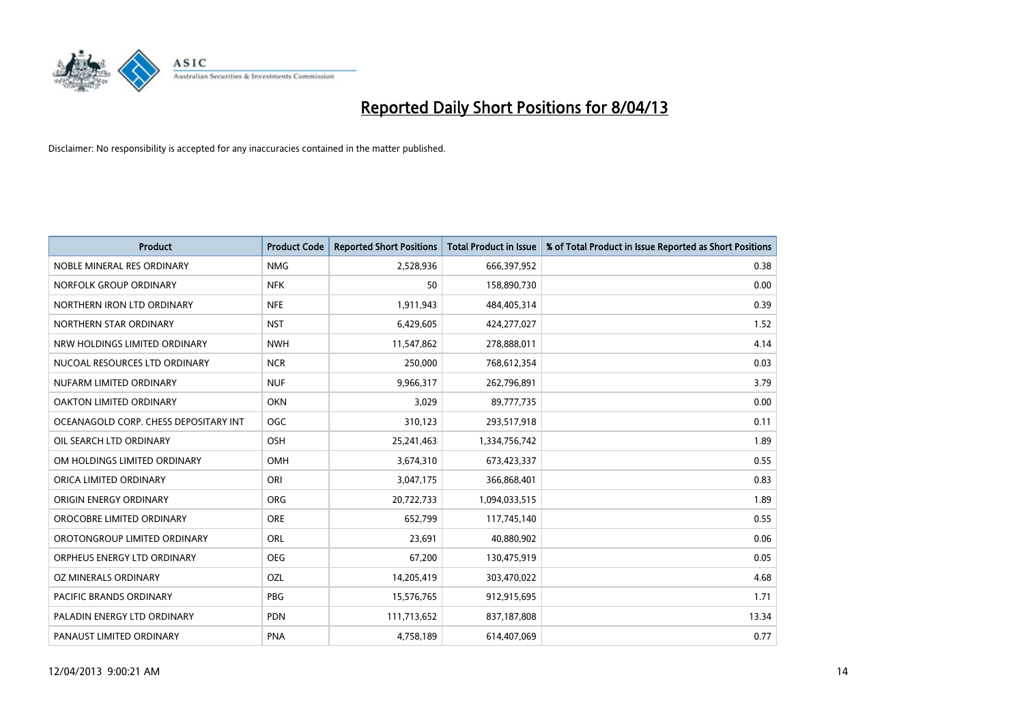

| <b>Product</b>                        | <b>Product Code</b> | <b>Reported Short Positions</b> | <b>Total Product in Issue</b> | % of Total Product in Issue Reported as Short Positions |
|---------------------------------------|---------------------|---------------------------------|-------------------------------|---------------------------------------------------------|
| NOBLE MINERAL RES ORDINARY            | <b>NMG</b>          | 2,528,936                       | 666,397,952                   | 0.38                                                    |
| NORFOLK GROUP ORDINARY                | <b>NFK</b>          | 50                              | 158,890,730                   | 0.00                                                    |
| NORTHERN IRON LTD ORDINARY            | <b>NFE</b>          | 1,911,943                       | 484,405,314                   | 0.39                                                    |
| NORTHERN STAR ORDINARY                | <b>NST</b>          | 6,429,605                       | 424,277,027                   | 1.52                                                    |
| NRW HOLDINGS LIMITED ORDINARY         | <b>NWH</b>          | 11,547,862                      | 278,888,011                   | 4.14                                                    |
| NUCOAL RESOURCES LTD ORDINARY         | <b>NCR</b>          | 250,000                         | 768,612,354                   | 0.03                                                    |
| NUFARM LIMITED ORDINARY               | <b>NUF</b>          | 9,966,317                       | 262,796,891                   | 3.79                                                    |
| OAKTON LIMITED ORDINARY               | <b>OKN</b>          | 3,029                           | 89,777,735                    | 0.00                                                    |
| OCEANAGOLD CORP. CHESS DEPOSITARY INT | <b>OGC</b>          | 310,123                         | 293,517,918                   | 0.11                                                    |
| OIL SEARCH LTD ORDINARY               | OSH                 | 25,241,463                      | 1,334,756,742                 | 1.89                                                    |
| OM HOLDINGS LIMITED ORDINARY          | <b>OMH</b>          | 3,674,310                       | 673,423,337                   | 0.55                                                    |
| ORICA LIMITED ORDINARY                | ORI                 | 3,047,175                       | 366,868,401                   | 0.83                                                    |
| ORIGIN ENERGY ORDINARY                | <b>ORG</b>          | 20,722,733                      | 1,094,033,515                 | 1.89                                                    |
| OROCOBRE LIMITED ORDINARY             | <b>ORE</b>          | 652,799                         | 117,745,140                   | 0.55                                                    |
| OROTONGROUP LIMITED ORDINARY          | ORL                 | 23,691                          | 40,880,902                    | 0.06                                                    |
| ORPHEUS ENERGY LTD ORDINARY           | <b>OEG</b>          | 67,200                          | 130,475,919                   | 0.05                                                    |
| OZ MINERALS ORDINARY                  | OZL                 | 14,205,419                      | 303,470,022                   | 4.68                                                    |
| PACIFIC BRANDS ORDINARY               | <b>PBG</b>          | 15,576,765                      | 912,915,695                   | 1.71                                                    |
| PALADIN ENERGY LTD ORDINARY           | <b>PDN</b>          | 111,713,652                     | 837,187,808                   | 13.34                                                   |
| PANAUST LIMITED ORDINARY              | <b>PNA</b>          | 4,758,189                       | 614,407,069                   | 0.77                                                    |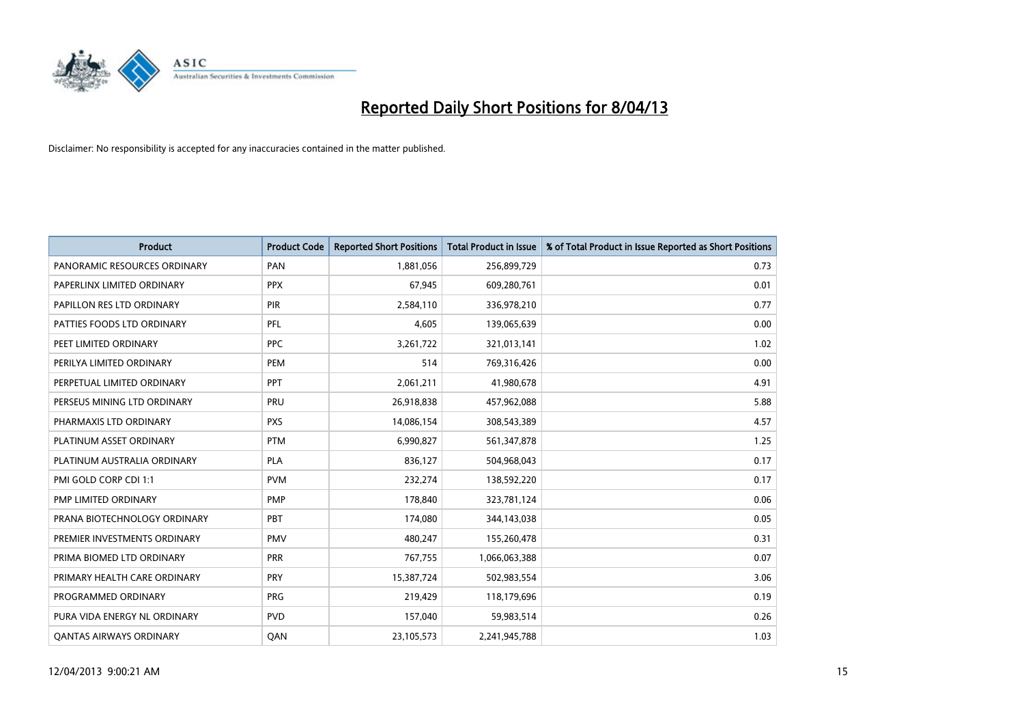

| <b>Product</b>                 | <b>Product Code</b> | <b>Reported Short Positions</b> | <b>Total Product in Issue</b> | % of Total Product in Issue Reported as Short Positions |
|--------------------------------|---------------------|---------------------------------|-------------------------------|---------------------------------------------------------|
| PANORAMIC RESOURCES ORDINARY   | PAN                 | 1,881,056                       | 256,899,729                   | 0.73                                                    |
| PAPERLINX LIMITED ORDINARY     | <b>PPX</b>          | 67,945                          | 609,280,761                   | 0.01                                                    |
| PAPILLON RES LTD ORDINARY      | PIR                 | 2,584,110                       | 336,978,210                   | 0.77                                                    |
| PATTIES FOODS LTD ORDINARY     | PFL                 | 4,605                           | 139,065,639                   | 0.00                                                    |
| PEET LIMITED ORDINARY          | <b>PPC</b>          | 3,261,722                       | 321,013,141                   | 1.02                                                    |
| PERILYA LIMITED ORDINARY       | PEM                 | 514                             | 769,316,426                   | 0.00                                                    |
| PERPETUAL LIMITED ORDINARY     | PPT                 | 2,061,211                       | 41,980,678                    | 4.91                                                    |
| PERSEUS MINING LTD ORDINARY    | PRU                 | 26,918,838                      | 457,962,088                   | 5.88                                                    |
| PHARMAXIS LTD ORDINARY         | <b>PXS</b>          | 14,086,154                      | 308,543,389                   | 4.57                                                    |
| PLATINUM ASSET ORDINARY        | <b>PTM</b>          | 6,990,827                       | 561,347,878                   | 1.25                                                    |
| PLATINUM AUSTRALIA ORDINARY    | <b>PLA</b>          | 836,127                         | 504,968,043                   | 0.17                                                    |
| PMI GOLD CORP CDI 1:1          | <b>PVM</b>          | 232,274                         | 138,592,220                   | 0.17                                                    |
| PMP LIMITED ORDINARY           | <b>PMP</b>          | 178,840                         | 323,781,124                   | 0.06                                                    |
| PRANA BIOTECHNOLOGY ORDINARY   | PBT                 | 174,080                         | 344,143,038                   | 0.05                                                    |
| PREMIER INVESTMENTS ORDINARY   | <b>PMV</b>          | 480,247                         | 155,260,478                   | 0.31                                                    |
| PRIMA BIOMED LTD ORDINARY      | <b>PRR</b>          | 767,755                         | 1,066,063,388                 | 0.07                                                    |
| PRIMARY HEALTH CARE ORDINARY   | <b>PRY</b>          | 15,387,724                      | 502,983,554                   | 3.06                                                    |
| PROGRAMMED ORDINARY            | <b>PRG</b>          | 219,429                         | 118,179,696                   | 0.19                                                    |
| PURA VIDA ENERGY NL ORDINARY   | <b>PVD</b>          | 157,040                         | 59,983,514                    | 0.26                                                    |
| <b>QANTAS AIRWAYS ORDINARY</b> | QAN                 | 23,105,573                      | 2,241,945,788                 | 1.03                                                    |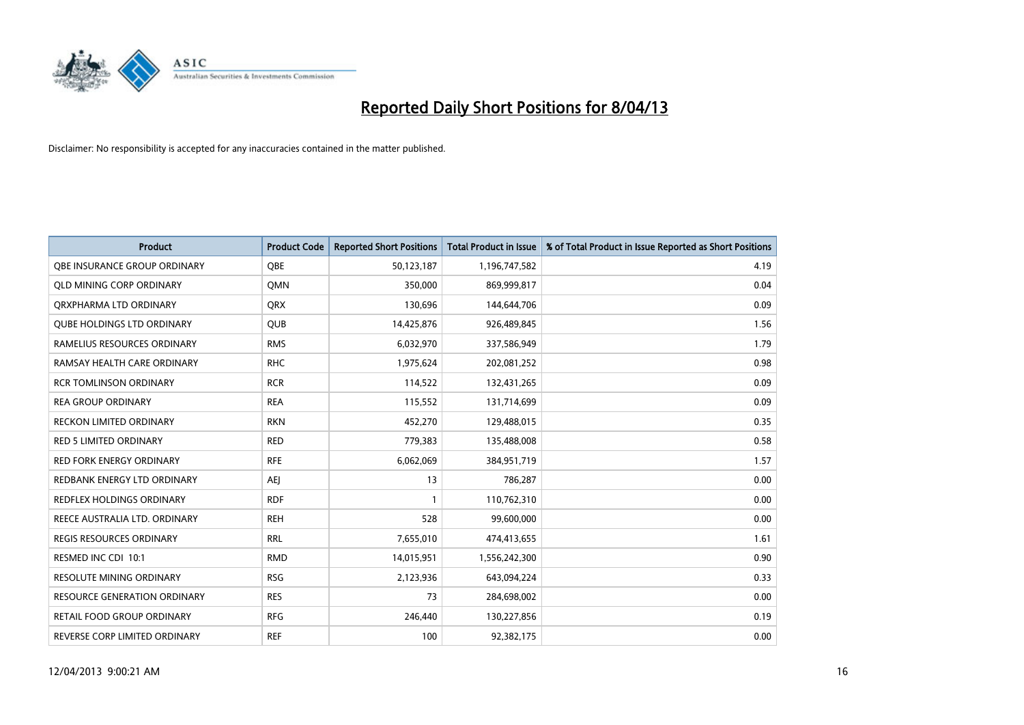

| <b>Product</b>                      | <b>Product Code</b> | <b>Reported Short Positions</b> | <b>Total Product in Issue</b> | % of Total Product in Issue Reported as Short Positions |
|-------------------------------------|---------------------|---------------------------------|-------------------------------|---------------------------------------------------------|
| OBE INSURANCE GROUP ORDINARY        | <b>OBE</b>          | 50,123,187                      | 1,196,747,582                 | 4.19                                                    |
| <b>QLD MINING CORP ORDINARY</b>     | <b>OMN</b>          | 350,000                         | 869,999,817                   | 0.04                                                    |
| ORXPHARMA LTD ORDINARY              | <b>QRX</b>          | 130,696                         | 144,644,706                   | 0.09                                                    |
| <b>QUBE HOLDINGS LTD ORDINARY</b>   | <b>QUB</b>          | 14,425,876                      | 926,489,845                   | 1.56                                                    |
| RAMELIUS RESOURCES ORDINARY         | <b>RMS</b>          | 6,032,970                       | 337,586,949                   | 1.79                                                    |
| RAMSAY HEALTH CARE ORDINARY         | <b>RHC</b>          | 1,975,624                       | 202,081,252                   | 0.98                                                    |
| <b>RCR TOMLINSON ORDINARY</b>       | <b>RCR</b>          | 114,522                         | 132,431,265                   | 0.09                                                    |
| <b>REA GROUP ORDINARY</b>           | <b>REA</b>          | 115,552                         | 131,714,699                   | 0.09                                                    |
| <b>RECKON LIMITED ORDINARY</b>      | <b>RKN</b>          | 452,270                         | 129,488,015                   | 0.35                                                    |
| <b>RED 5 LIMITED ORDINARY</b>       | <b>RED</b>          | 779,383                         | 135,488,008                   | 0.58                                                    |
| <b>RED FORK ENERGY ORDINARY</b>     | <b>RFE</b>          | 6,062,069                       | 384,951,719                   | 1.57                                                    |
| REDBANK ENERGY LTD ORDINARY         | AEI                 | 13                              | 786,287                       | 0.00                                                    |
| REDFLEX HOLDINGS ORDINARY           | <b>RDF</b>          |                                 | 110,762,310                   | 0.00                                                    |
| REECE AUSTRALIA LTD. ORDINARY       | <b>REH</b>          | 528                             | 99,600,000                    | 0.00                                                    |
| <b>REGIS RESOURCES ORDINARY</b>     | <b>RRL</b>          | 7,655,010                       | 474,413,655                   | 1.61                                                    |
| RESMED INC CDI 10:1                 | <b>RMD</b>          | 14,015,951                      | 1,556,242,300                 | 0.90                                                    |
| RESOLUTE MINING ORDINARY            | <b>RSG</b>          | 2,123,936                       | 643,094,224                   | 0.33                                                    |
| <b>RESOURCE GENERATION ORDINARY</b> | <b>RES</b>          | 73                              | 284,698,002                   | 0.00                                                    |
| <b>RETAIL FOOD GROUP ORDINARY</b>   | <b>RFG</b>          | 246,440                         | 130,227,856                   | 0.19                                                    |
| REVERSE CORP LIMITED ORDINARY       | <b>REF</b>          | 100                             | 92,382,175                    | 0.00                                                    |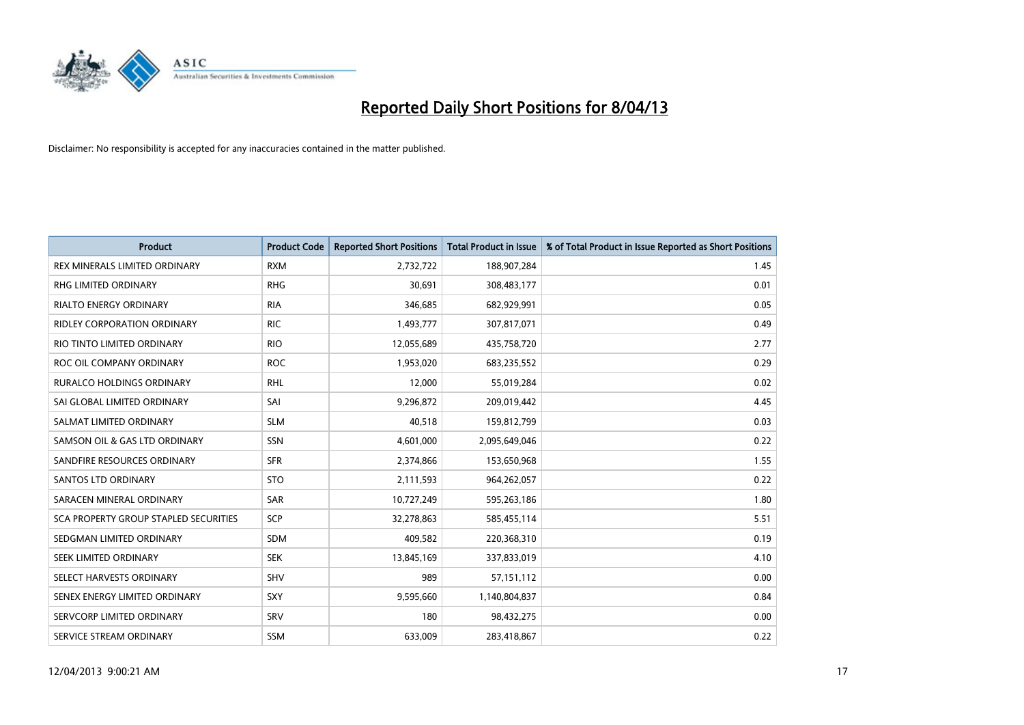

| <b>Product</b>                        | <b>Product Code</b> | <b>Reported Short Positions</b> | <b>Total Product in Issue</b> | % of Total Product in Issue Reported as Short Positions |
|---------------------------------------|---------------------|---------------------------------|-------------------------------|---------------------------------------------------------|
| REX MINERALS LIMITED ORDINARY         | <b>RXM</b>          | 2,732,722                       | 188,907,284                   | 1.45                                                    |
| <b>RHG LIMITED ORDINARY</b>           | <b>RHG</b>          | 30,691                          | 308,483,177                   | 0.01                                                    |
| <b>RIALTO ENERGY ORDINARY</b>         | <b>RIA</b>          | 346,685                         | 682,929,991                   | 0.05                                                    |
| RIDLEY CORPORATION ORDINARY           | <b>RIC</b>          | 1,493,777                       | 307,817,071                   | 0.49                                                    |
| RIO TINTO LIMITED ORDINARY            | <b>RIO</b>          | 12,055,689                      | 435,758,720                   | 2.77                                                    |
| ROC OIL COMPANY ORDINARY              | <b>ROC</b>          | 1,953,020                       | 683,235,552                   | 0.29                                                    |
| <b>RURALCO HOLDINGS ORDINARY</b>      | <b>RHL</b>          | 12,000                          | 55,019,284                    | 0.02                                                    |
| SAI GLOBAL LIMITED ORDINARY           | SAI                 | 9,296,872                       | 209,019,442                   | 4.45                                                    |
| SALMAT LIMITED ORDINARY               | <b>SLM</b>          | 40,518                          | 159,812,799                   | 0.03                                                    |
| SAMSON OIL & GAS LTD ORDINARY         | SSN                 | 4,601,000                       | 2,095,649,046                 | 0.22                                                    |
| SANDFIRE RESOURCES ORDINARY           | <b>SFR</b>          | 2,374,866                       | 153,650,968                   | 1.55                                                    |
| <b>SANTOS LTD ORDINARY</b>            | <b>STO</b>          | 2,111,593                       | 964,262,057                   | 0.22                                                    |
| SARACEN MINERAL ORDINARY              | SAR                 | 10,727,249                      | 595,263,186                   | 1.80                                                    |
| SCA PROPERTY GROUP STAPLED SECURITIES | <b>SCP</b>          | 32,278,863                      | 585,455,114                   | 5.51                                                    |
| SEDGMAN LIMITED ORDINARY              | <b>SDM</b>          | 409,582                         | 220,368,310                   | 0.19                                                    |
| SEEK LIMITED ORDINARY                 | <b>SEK</b>          | 13,845,169                      | 337,833,019                   | 4.10                                                    |
| SELECT HARVESTS ORDINARY              | SHV                 | 989                             | 57,151,112                    | 0.00                                                    |
| SENEX ENERGY LIMITED ORDINARY         | <b>SXY</b>          | 9,595,660                       | 1,140,804,837                 | 0.84                                                    |
| SERVCORP LIMITED ORDINARY             | SRV                 | 180                             | 98,432,275                    | 0.00                                                    |
| SERVICE STREAM ORDINARY               | <b>SSM</b>          | 633.009                         | 283,418,867                   | 0.22                                                    |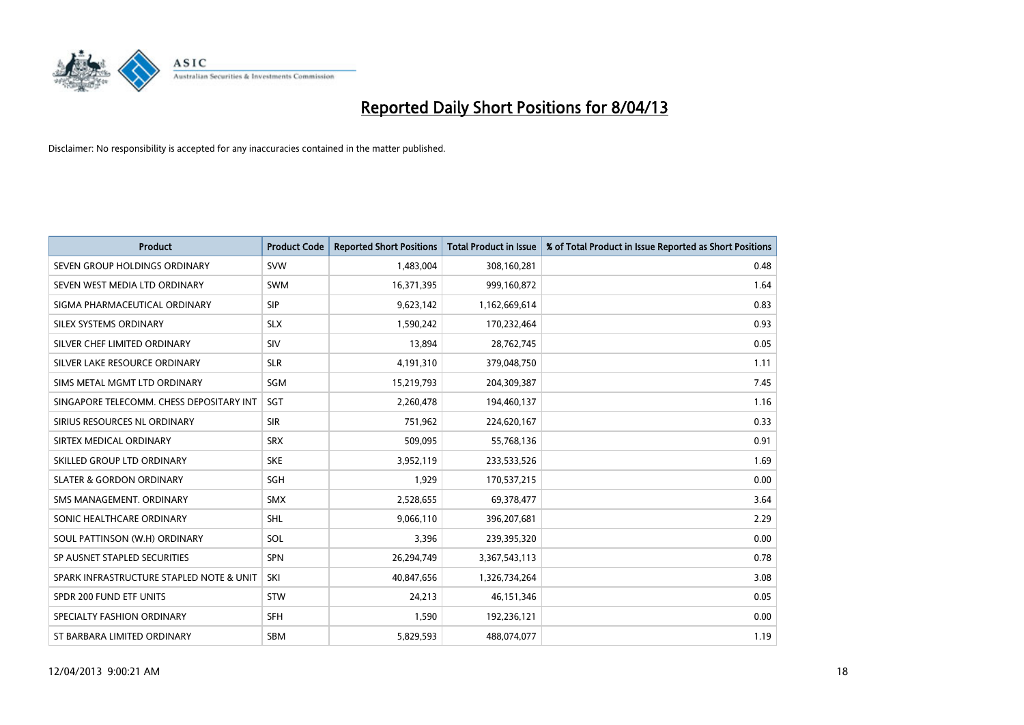

| <b>Product</b>                           | <b>Product Code</b> | <b>Reported Short Positions</b> | <b>Total Product in Issue</b> | % of Total Product in Issue Reported as Short Positions |
|------------------------------------------|---------------------|---------------------------------|-------------------------------|---------------------------------------------------------|
| SEVEN GROUP HOLDINGS ORDINARY            | <b>SVW</b>          | 1,483,004                       | 308,160,281                   | 0.48                                                    |
| SEVEN WEST MEDIA LTD ORDINARY            | <b>SWM</b>          | 16,371,395                      | 999,160,872                   | 1.64                                                    |
| SIGMA PHARMACEUTICAL ORDINARY            | <b>SIP</b>          | 9,623,142                       | 1,162,669,614                 | 0.83                                                    |
| SILEX SYSTEMS ORDINARY                   | <b>SLX</b>          | 1,590,242                       | 170,232,464                   | 0.93                                                    |
| SILVER CHEF LIMITED ORDINARY             | SIV                 | 13,894                          | 28,762,745                    | 0.05                                                    |
| SILVER LAKE RESOURCE ORDINARY            | <b>SLR</b>          | 4,191,310                       | 379,048,750                   | 1.11                                                    |
| SIMS METAL MGMT LTD ORDINARY             | SGM                 | 15,219,793                      | 204,309,387                   | 7.45                                                    |
| SINGAPORE TELECOMM. CHESS DEPOSITARY INT | <b>SGT</b>          | 2,260,478                       | 194,460,137                   | 1.16                                                    |
| SIRIUS RESOURCES NL ORDINARY             | <b>SIR</b>          | 751,962                         | 224,620,167                   | 0.33                                                    |
| SIRTEX MEDICAL ORDINARY                  | <b>SRX</b>          | 509,095                         | 55,768,136                    | 0.91                                                    |
| SKILLED GROUP LTD ORDINARY               | <b>SKE</b>          | 3,952,119                       | 233,533,526                   | 1.69                                                    |
| <b>SLATER &amp; GORDON ORDINARY</b>      | <b>SGH</b>          | 1,929                           | 170,537,215                   | 0.00                                                    |
| SMS MANAGEMENT. ORDINARY                 | <b>SMX</b>          | 2,528,655                       | 69,378,477                    | 3.64                                                    |
| SONIC HEALTHCARE ORDINARY                | <b>SHL</b>          | 9,066,110                       | 396,207,681                   | 2.29                                                    |
| SOUL PATTINSON (W.H) ORDINARY            | SOL                 | 3,396                           | 239,395,320                   | 0.00                                                    |
| SP AUSNET STAPLED SECURITIES             | <b>SPN</b>          | 26,294,749                      | 3,367,543,113                 | 0.78                                                    |
| SPARK INFRASTRUCTURE STAPLED NOTE & UNIT | SKI                 | 40,847,656                      | 1,326,734,264                 | 3.08                                                    |
| SPDR 200 FUND ETF UNITS                  | <b>STW</b>          | 24,213                          | 46,151,346                    | 0.05                                                    |
| SPECIALTY FASHION ORDINARY               | <b>SFH</b>          | 1,590                           | 192,236,121                   | 0.00                                                    |
| ST BARBARA LIMITED ORDINARY              | <b>SBM</b>          | 5,829,593                       | 488,074,077                   | 1.19                                                    |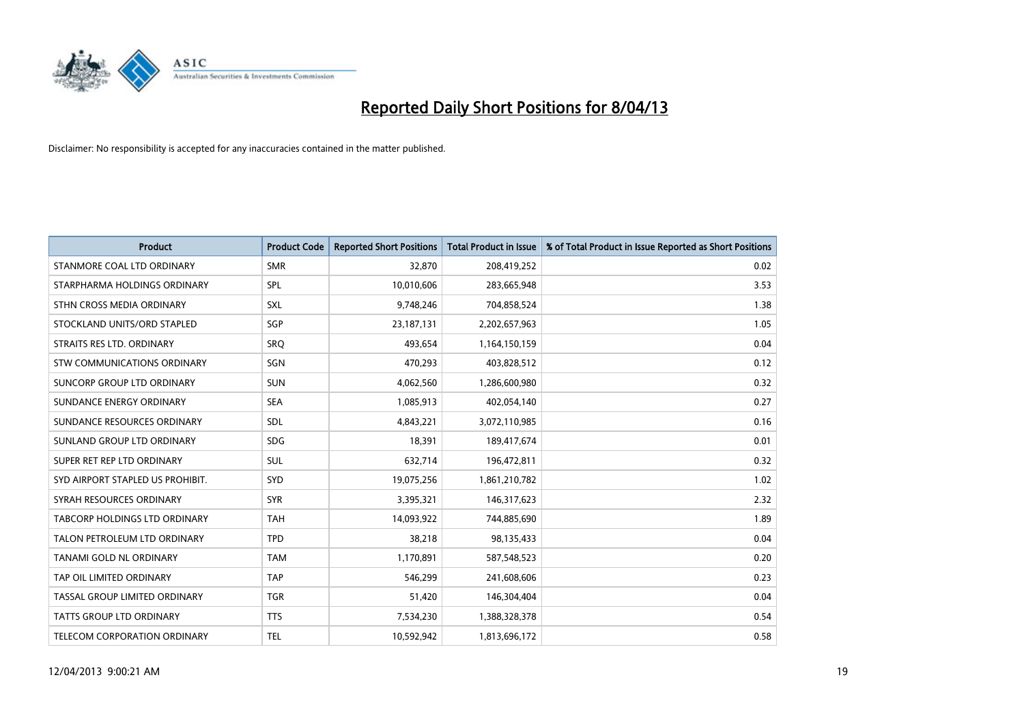

| <b>Product</b>                       | <b>Product Code</b> | <b>Reported Short Positions</b> | <b>Total Product in Issue</b> | % of Total Product in Issue Reported as Short Positions |
|--------------------------------------|---------------------|---------------------------------|-------------------------------|---------------------------------------------------------|
| STANMORE COAL LTD ORDINARY           | <b>SMR</b>          | 32,870                          | 208,419,252                   | 0.02                                                    |
| STARPHARMA HOLDINGS ORDINARY         | SPL                 | 10,010,606                      | 283,665,948                   | 3.53                                                    |
| STHN CROSS MEDIA ORDINARY            | <b>SXL</b>          | 9,748,246                       | 704,858,524                   | 1.38                                                    |
| STOCKLAND UNITS/ORD STAPLED          | <b>SGP</b>          | 23, 187, 131                    | 2,202,657,963                 | 1.05                                                    |
| STRAITS RES LTD. ORDINARY            | SRO                 | 493,654                         | 1,164,150,159                 | 0.04                                                    |
| STW COMMUNICATIONS ORDINARY          | SGN                 | 470,293                         | 403,828,512                   | 0.12                                                    |
| SUNCORP GROUP LTD ORDINARY           | <b>SUN</b>          | 4,062,560                       | 1,286,600,980                 | 0.32                                                    |
| SUNDANCE ENERGY ORDINARY             | <b>SEA</b>          | 1,085,913                       | 402,054,140                   | 0.27                                                    |
| SUNDANCE RESOURCES ORDINARY          | <b>SDL</b>          | 4,843,221                       | 3,072,110,985                 | 0.16                                                    |
| SUNLAND GROUP LTD ORDINARY           | <b>SDG</b>          | 18,391                          | 189,417,674                   | 0.01                                                    |
| SUPER RET REP LTD ORDINARY           | <b>SUL</b>          | 632,714                         | 196,472,811                   | 0.32                                                    |
| SYD AIRPORT STAPLED US PROHIBIT.     | <b>SYD</b>          | 19,075,256                      | 1,861,210,782                 | 1.02                                                    |
| SYRAH RESOURCES ORDINARY             | <b>SYR</b>          | 3,395,321                       | 146,317,623                   | 2.32                                                    |
| <b>TABCORP HOLDINGS LTD ORDINARY</b> | <b>TAH</b>          | 14,093,922                      | 744,885,690                   | 1.89                                                    |
| TALON PETROLEUM LTD ORDINARY         | <b>TPD</b>          | 38,218                          | 98,135,433                    | 0.04                                                    |
| TANAMI GOLD NL ORDINARY              | <b>TAM</b>          | 1,170,891                       | 587,548,523                   | 0.20                                                    |
| TAP OIL LIMITED ORDINARY             | <b>TAP</b>          | 546,299                         | 241,608,606                   | 0.23                                                    |
| TASSAL GROUP LIMITED ORDINARY        | <b>TGR</b>          | 51,420                          | 146,304,404                   | 0.04                                                    |
| <b>TATTS GROUP LTD ORDINARY</b>      | <b>TTS</b>          | 7,534,230                       | 1,388,328,378                 | 0.54                                                    |
| TELECOM CORPORATION ORDINARY         | <b>TEL</b>          | 10,592,942                      | 1,813,696,172                 | 0.58                                                    |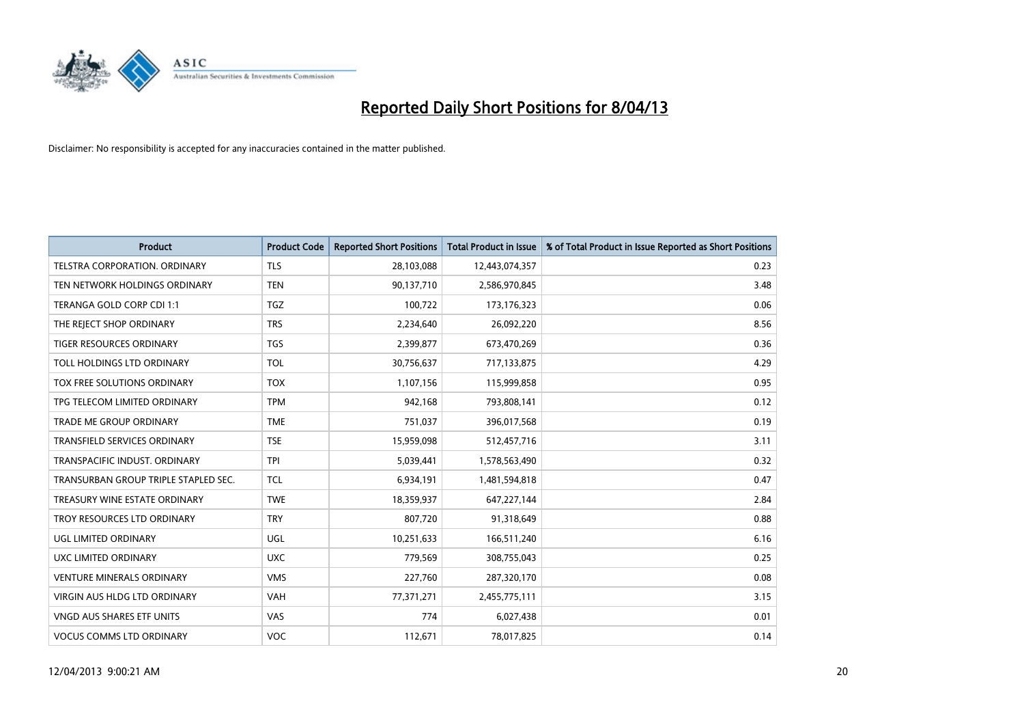

| <b>Product</b>                       | <b>Product Code</b> | <b>Reported Short Positions</b> | <b>Total Product in Issue</b> | % of Total Product in Issue Reported as Short Positions |
|--------------------------------------|---------------------|---------------------------------|-------------------------------|---------------------------------------------------------|
| <b>TELSTRA CORPORATION, ORDINARY</b> | <b>TLS</b>          | 28,103,088                      | 12,443,074,357                | 0.23                                                    |
| TEN NETWORK HOLDINGS ORDINARY        | <b>TEN</b>          | 90,137,710                      | 2,586,970,845                 | 3.48                                                    |
| TERANGA GOLD CORP CDI 1:1            | <b>TGZ</b>          | 100,722                         | 173, 176, 323                 | 0.06                                                    |
| THE REJECT SHOP ORDINARY             | <b>TRS</b>          | 2,234,640                       | 26,092,220                    | 8.56                                                    |
| <b>TIGER RESOURCES ORDINARY</b>      | <b>TGS</b>          | 2,399,877                       | 673,470,269                   | 0.36                                                    |
| TOLL HOLDINGS LTD ORDINARY           | <b>TOL</b>          | 30,756,637                      | 717,133,875                   | 4.29                                                    |
| TOX FREE SOLUTIONS ORDINARY          | <b>TOX</b>          | 1,107,156                       | 115,999,858                   | 0.95                                                    |
| TPG TELECOM LIMITED ORDINARY         | <b>TPM</b>          | 942,168                         | 793,808,141                   | 0.12                                                    |
| TRADE ME GROUP ORDINARY              | <b>TME</b>          | 751,037                         | 396,017,568                   | 0.19                                                    |
| <b>TRANSFIELD SERVICES ORDINARY</b>  | <b>TSE</b>          | 15,959,098                      | 512,457,716                   | 3.11                                                    |
| TRANSPACIFIC INDUST. ORDINARY        | <b>TPI</b>          | 5,039,441                       | 1,578,563,490                 | 0.32                                                    |
| TRANSURBAN GROUP TRIPLE STAPLED SEC. | <b>TCL</b>          | 6,934,191                       | 1,481,594,818                 | 0.47                                                    |
| TREASURY WINE ESTATE ORDINARY        | <b>TWE</b>          | 18,359,937                      | 647,227,144                   | 2.84                                                    |
| TROY RESOURCES LTD ORDINARY          | <b>TRY</b>          | 807,720                         | 91,318,649                    | 0.88                                                    |
| UGL LIMITED ORDINARY                 | <b>UGL</b>          | 10,251,633                      | 166,511,240                   | 6.16                                                    |
| UXC LIMITED ORDINARY                 | <b>UXC</b>          | 779,569                         | 308,755,043                   | 0.25                                                    |
| <b>VENTURE MINERALS ORDINARY</b>     | <b>VMS</b>          | 227,760                         | 287,320,170                   | 0.08                                                    |
| VIRGIN AUS HLDG LTD ORDINARY         | <b>VAH</b>          | 77,371,271                      | 2,455,775,111                 | 3.15                                                    |
| <b>VNGD AUS SHARES ETF UNITS</b>     | VAS                 | 774                             | 6,027,438                     | 0.01                                                    |
| <b>VOCUS COMMS LTD ORDINARY</b>      | <b>VOC</b>          | 112.671                         | 78,017,825                    | 0.14                                                    |